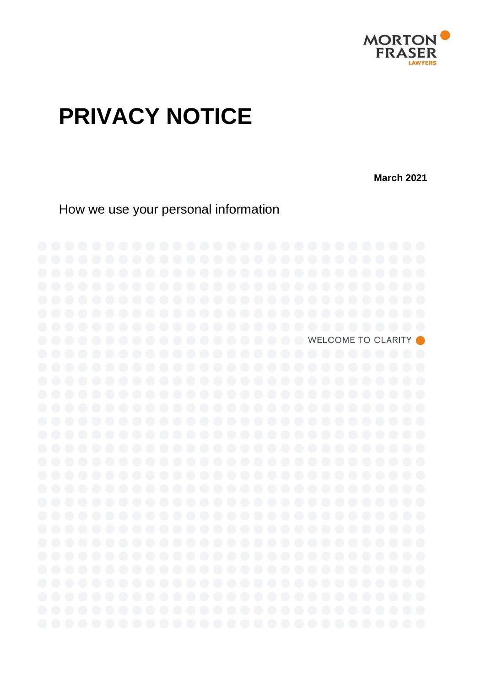

# **PRIVACY NOTICE**

**March 2021**

How we use your personal information

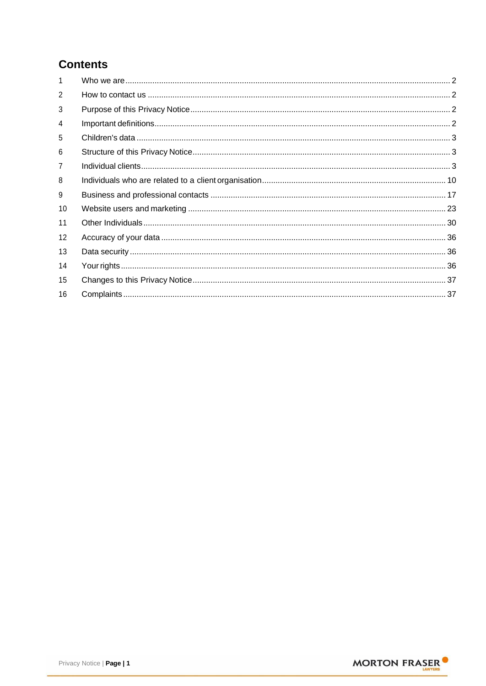# **Contents**

| $\overline{2}$    |  |
|-------------------|--|
| 3                 |  |
| 4                 |  |
| 5                 |  |
| 6                 |  |
| 7                 |  |
| 8                 |  |
| 9                 |  |
| 10                |  |
| 11                |  |
| $12 \overline{ }$ |  |
| 13                |  |
| 14                |  |
| 15                |  |
| 16                |  |

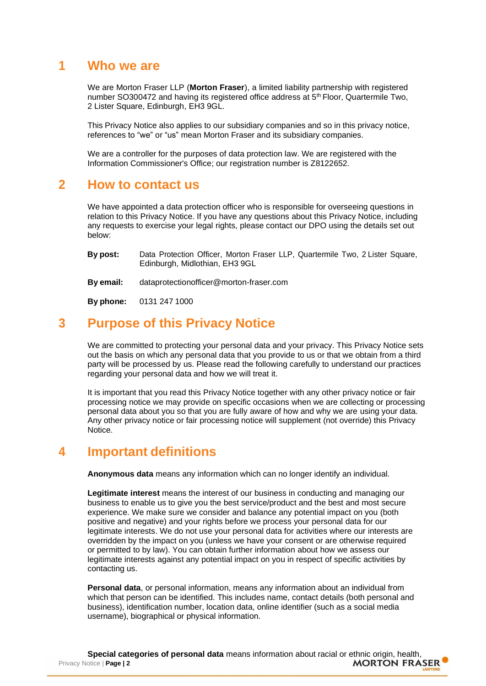### **1 Who we are**

We are Morton Fraser LLP (**Morton Fraser**), a limited liability partnership with registered number SO300472 and having its registered office address at 5<sup>th</sup> Floor, Quartermile Two, 2 Lister Square, Edinburgh, EH3 9GL.

This Privacy Notice also applies to our subsidiary companies and so in this privacy notice, references to "we" or "us" mean Morton Fraser and its subsidiary companies.

We are a controller for the purposes of data protection law. We are registered with the Information Commissioner's Office; our registration number is Z8122652.

### **2 How to contact us**

We have appointed a data protection officer who is responsible for overseeing questions in relation to this Privacy Notice. If you have any questions about this Privacy Notice, including any requests to exercise your legal rights, please contact our DPO using the details set out below:

**By post:** Data Protection Officer, Morton Fraser LLP, Quartermile Two, 2 Lister Square, Edinburgh, Midlothian, EH3 9GL

**By email:** [dataprotectionofficer@morton-fraser.com](mailto:dataprotectionofficer@morton-fraser.com)

**By phone:** 0131 247 1000

### **3 Purpose of this Privacy Notice**

We are committed to protecting your personal data and your privacy. This Privacy Notice sets out the basis on which any personal data that you provide to us or that we obtain from a third party will be processed by us. Please read the following carefully to understand our practices regarding your personal data and how we will treat it.

It is important that you read this Privacy Notice together with any other privacy notice or fair processing notice we may provide on specific occasions when we are collecting or processing personal data about you so that you are fully aware of how and why we are using your data. Any other privacy notice or fair processing notice will supplement (not override) this Privacy Notice.

### **4 Important definitions**

**Anonymous data** means any information which can no longer identify an individual.

**Legitimate interest** means the interest of our business in conducting and managing our business to enable us to give you the best service/product and the best and most secure experience. We make sure we consider and balance any potential impact on you (both positive and negative) and your rights before we process your personal data for our legitimate interests. We do not use your personal data for activities where our interests are overridden by the impact on you (unless we have your consent or are otherwise required or permitted to by law). You can obtain further information about how we assess our legitimate interests against any potential impact on you in respect of specific activities by contacting us.

**Personal data**, or personal information, means any information about an individual from which that person can be identified. This includes name, contact details (both personal and business), identification number, location data, online identifier (such as a social media username), biographical or physical information.

Privacy Notice | **Page | 2 Special categories of personal data** means information about racial or ethnic origin, health,<br> **MORTON FRASER**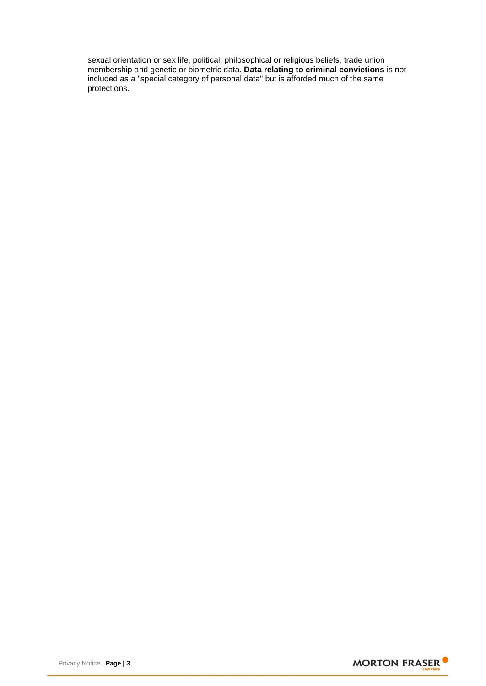sexual orientation or sex life, political, philosophical or religious beliefs, trade union membership and genetic or biometric data. **Data relating to criminal convictions** is not included as a "special category of personal data" but is afforded much of the same protections.

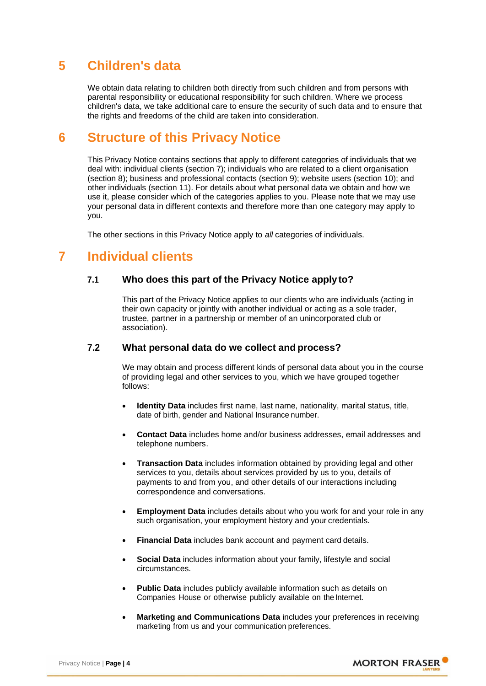# **5 Children's data**

We obtain data relating to children both directly from such children and from persons with parental responsibility or educational responsibility for such children. Where we process children's data, we take additional care to ensure the security of such data and to ensure that the rights and freedoms of the child are taken into consideration.

# **6 Structure of this Privacy Notice**

This Privacy Notice contains sections that apply to different categories of individuals that we deal with: individual clients (section 7); individuals who are related to a client organisation (section 8); business and professional contacts (section 9); website users (section 10); and other individuals (section 11). For details about what personal data we obtain and how we use it, please consider which of the categories applies to you. Please note that we may use your personal data in different contexts and therefore more than one category may apply to you.

The other sections in this Privacy Notice apply to *all* categories of individuals.

# **7 Individual clients**

#### **7.1 Who does this part of the Privacy Notice applyto?**

This part of the Privacy Notice applies to our clients who are individuals (acting in their own capacity or jointly with another individual or acting as a sole trader, trustee, partner in a partnership or member of an unincorporated club or association).

#### **7.2 What personal data do we collect and process?**

We may obtain and process different kinds of personal data about you in the course of providing legal and other services to you, which we have grouped together follows:

- **Identity Data** includes first name, last name, nationality, marital status, title, date of birth, gender and National Insurance number.
- **Contact Data** includes home and/or business addresses, email addresses and telephone numbers.
- **Transaction Data** includes information obtained by providing legal and other services to you, details about services provided by us to you, details of payments to and from you, and other details of our interactions including correspondence and conversations.
- **Employment Data** includes details about who you work for and your role in any such organisation, your employment history and your credentials.
- **Financial Data** includes bank account and payment card details.
- **Social Data** includes information about your family, lifestyle and social circumstances.
- **Public Data** includes publicly available information such as details on Companies House or otherwise publicly available on the Internet.
- **Marketing and Communications Data** includes your preferences in receiving marketing from us and your communication preferences.

**MORTON FRASER** 

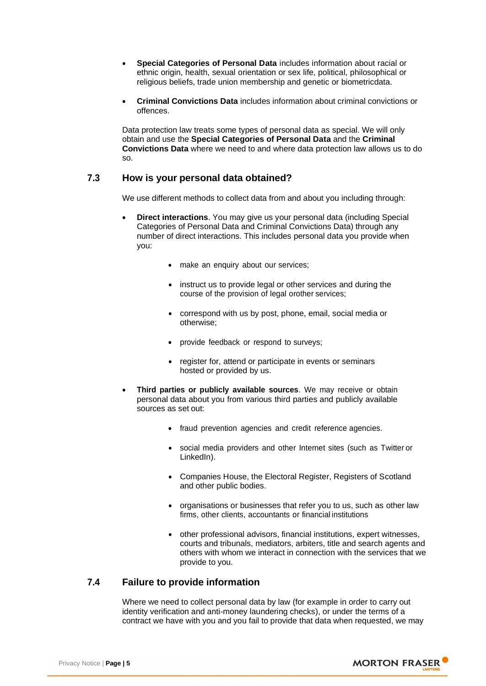- **Special Categories of Personal Data** includes information about racial or ethnic origin, health, sexual orientation or sex life, political, philosophical or religious beliefs, trade union membership and genetic or biometricdata.
- **Criminal Convictions Data** includes information about criminal convictions or offences.

Data protection law treats some types of personal data as special. We will only obtain and use the **Special Categories of Personal Data** and the **Criminal Convictions Data** where we need to and where data protection law allows us to do so.

#### **7.3 How is your personal data obtained?**

We use different methods to collect data from and about you including through:

- **Direct interactions**. You may give us your personal data (including Special Categories of Personal Data and Criminal Convictions Data) through any number of direct interactions. This includes personal data you provide when you:
	- make an enquiry about our services;
	- instruct us to provide legal or other services and during the course of the provision of legal orother services;
	- correspond with us by post, phone, email, social media or otherwise;
	- provide feedback or respond to surveys;
	- register for, attend or participate in events or seminars hosted or provided by us.
- **Third parties or publicly available sources**. We may receive or obtain personal data about you from various third parties and publicly available sources as set out:
	- fraud prevention agencies and credit reference agencies.
	- social media providers and other Internet sites (such as Twitter or LinkedIn).
	- Companies House, the Electoral Register, Registers of Scotland and other public bodies.
	- organisations or businesses that refer you to us, such as other law firms, other clients, accountants or financial institutions
	- other professional advisors, financial institutions, expert witnesses, courts and tribunals, mediators, arbiters, title and search agents and others with whom we interact in connection with the services that we provide to you.

#### **7.4 Failure to provide information**

Where we need to collect personal data by law (for example in order to carry out identity verification and anti-money laundering checks), or under the terms of a contract we have with you and you fail to provide that data when requested, we may

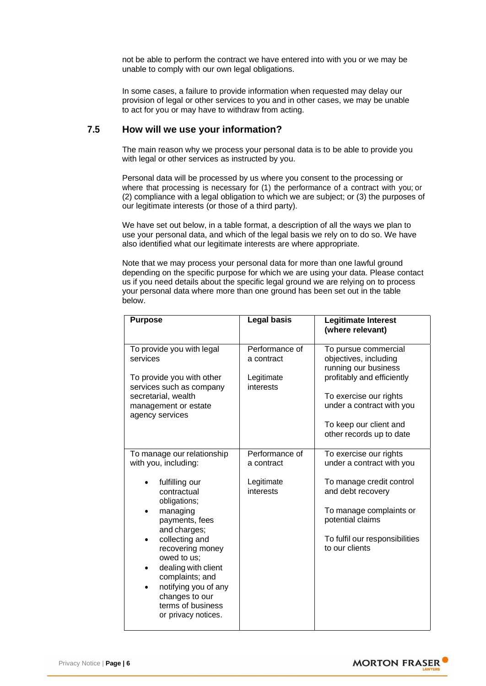not be able to perform the contract we have entered into with you or we may be unable to comply with our own legal obligations.

In some cases, a failure to provide information when requested may delay our provision of legal or other services to you and in other cases, we may be unable to act for you or may have to withdraw from acting.

#### **7.5 How will we use your information?**

The main reason why we process your personal data is to be able to provide you with legal or other services as instructed by you.

Personal data will be processed by us where you consent to the processing or where that processing is necessary for (1) the performance of a contract with you; or (2) compliance with a legal obligation to which we are subject; or (3) the purposes of our legitimate interests (or those of a third party).

We have set out below, in a table format, a description of all the ways we plan to use your personal data, and which of the legal basis we rely on to do so. We have also identified what our legitimate interests are where appropriate.

Note that we may process your personal data for more than one lawful ground depending on the specific purpose for which we are using your data. Please contact us if you need details about the specific legal ground we are relying on to process your personal data where more than one ground has been set out in the table below.

| <b>Purpose</b>                                                                                                                                                                    | <b>Legal basis</b>                         | <b>Legitimate Interest</b><br>(where relevant)                                                      |
|-----------------------------------------------------------------------------------------------------------------------------------------------------------------------------------|--------------------------------------------|-----------------------------------------------------------------------------------------------------|
| To provide you with legal<br>services<br>To provide you with other                                                                                                                | Performance of<br>a contract<br>Legitimate | To pursue commercial<br>objectives, including<br>running our business<br>profitably and efficiently |
| services such as company<br>secretarial, wealth<br>management or estate<br>agency services                                                                                        | interests                                  | To exercise our rights<br>under a contract with you                                                 |
|                                                                                                                                                                                   |                                            | To keep our client and<br>other records up to date                                                  |
| To manage our relationship<br>with you, including:                                                                                                                                | Performance of<br>a contract               | To exercise our rights<br>under a contract with you                                                 |
| fulfilling our<br>contractual<br>obligations;                                                                                                                                     | Legitimate<br>interests                    | To manage credit control<br>and debt recovery                                                       |
| managing<br>payments, fees<br>and charges;                                                                                                                                        |                                            | To manage complaints or<br>potential claims                                                         |
| collecting and<br>recovering money<br>owed to us;<br>dealing with client<br>complaints; and<br>notifying you of any<br>changes to our<br>terms of business<br>or privacy notices. |                                            | To fulfil our responsibilities<br>to our clients                                                    |

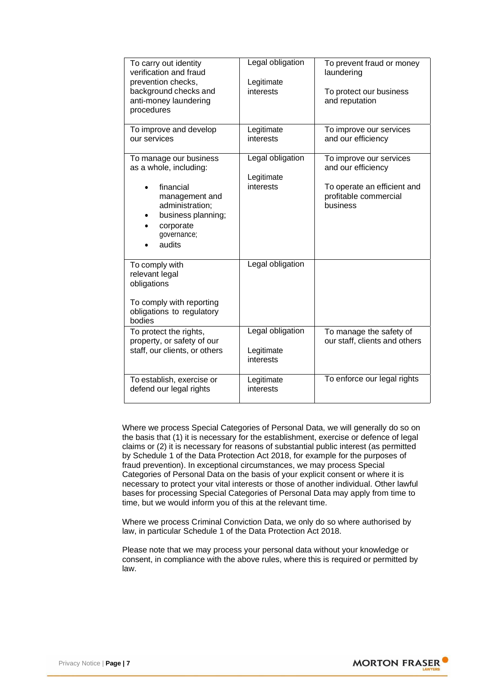| To carry out identity<br>verification and fraud<br>prevention checks,<br>background checks and<br>anti-money laundering<br>procedures                          | Legal obligation<br>Legitimate<br>interests | To prevent fraud or money<br>laundering<br>To protect our business<br>and reputation                              |
|----------------------------------------------------------------------------------------------------------------------------------------------------------------|---------------------------------------------|-------------------------------------------------------------------------------------------------------------------|
| To improve and develop<br>our services                                                                                                                         | Legitimate<br>interests                     | To improve our services<br>and our efficiency                                                                     |
| To manage our business<br>as a whole, including:<br>financial<br>management and<br>administration;<br>business planning;<br>corporate<br>governance;<br>audits | Legal obligation<br>Legitimate<br>interests | To improve our services<br>and our efficiency<br>To operate an efficient and<br>profitable commercial<br>business |
| To comply with<br>relevant legal<br>obligations<br>To comply with reporting<br>obligations to regulatory<br>bodies                                             | Legal obligation                            |                                                                                                                   |
| To protect the rights,<br>property, or safety of our<br>staff, our clients, or others                                                                          | Legal obligation<br>Legitimate<br>interests | To manage the safety of<br>our staff, clients and others                                                          |
| To establish, exercise or<br>defend our legal rights                                                                                                           | Legitimate<br>interests                     | To enforce our legal rights                                                                                       |

Where we process Special Categories of Personal Data, we will generally do so on the basis that (1) it is necessary for the establishment, exercise or defence of legal claims or (2) it is necessary for reasons of substantial public interest (as permitted by Schedule 1 of the Data Protection Act 2018, for example for the purposes of fraud prevention). In exceptional circumstances, we may process Special Categories of Personal Data on the basis of your explicit consent or where it is necessary to protect your vital interests or those of another individual. Other lawful bases for processing Special Categories of Personal Data may apply from time to time, but we would inform you of this at the relevant time.

Where we process Criminal Conviction Data, we only do so where authorised by law, in particular Schedule 1 of the Data Protection Act 2018.

Please note that we may process your personal data without your knowledge or consent, in compliance with the above rules, where this is required or permitted by law.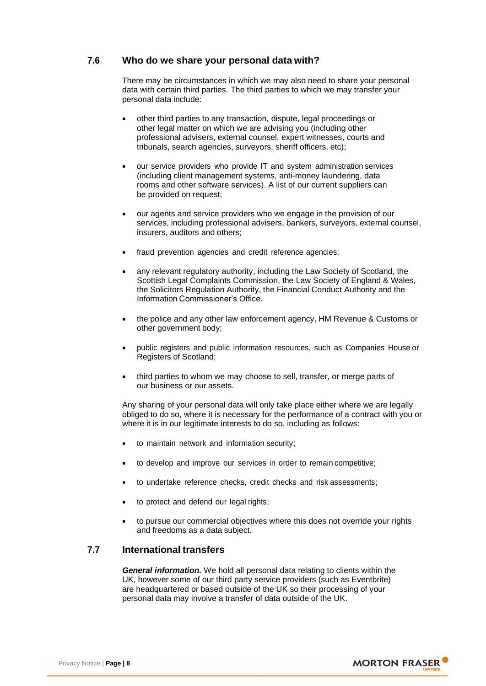#### **7.6 Who do we share your personal data with?**

There may be circumstances in which we may also need to share your personal data with certain third parties. The third parties to which we may transfer your personal data include:

- other third parties to any transaction, dispute, legal proceedings or other legal matter on which we are advising you (including other professional advisers, external counsel, expert witnesses, courts and tribunals, search agencies, surveyors, sheriff officers, etc);
- our service providers who provide IT and system administration services (including client management systems, anti-money laundering, data rooms and other software services). A list of our current suppliers can be provided on request;
- our agents and service providers who we engage in the provision of our services, including professional advisers, bankers, surveyors, external counsel, insurers, auditors and others;
- fraud prevention agencies and credit reference agencies;
- any relevant regulatory authority, including the Law Society of Scotland, the Scottish Legal Complaints Commission, the Law Society of England & Wales, the Solicitors Regulation Authority, the Financial Conduct Authority and the Information Commissioner's Office.
- the police and any other law enforcement agency, HM Revenue & Customs or other government body;
- public registers and public information resources, such as Companies House or Registers of Scotland;
- third parties to whom we may choose to sell, transfer, or merge parts of our business or our assets.

Any sharing of your personal data will only take place either where we are legally obliged to do so, where it is necessary for the performance of a contract with you or where it is in our legitimate interests to do so, including as follows:

- to maintain network and information security;
- to develop and improve our services in order to remain competitive;
- to undertake reference checks, credit checks and risk assessments;
- to protect and defend our legal rights;
- to pursue our commercial objectives where this does not override your rights and freedoms as a data subject.

#### **7.7 International transfers**

*General information.* We hold all personal data relating to clients within the UK, however some of our third party service providers (such as Eventbrite) are headquartered or based outside of the UK so their processing of your personal data may involve a transfer of data outside of the UK.

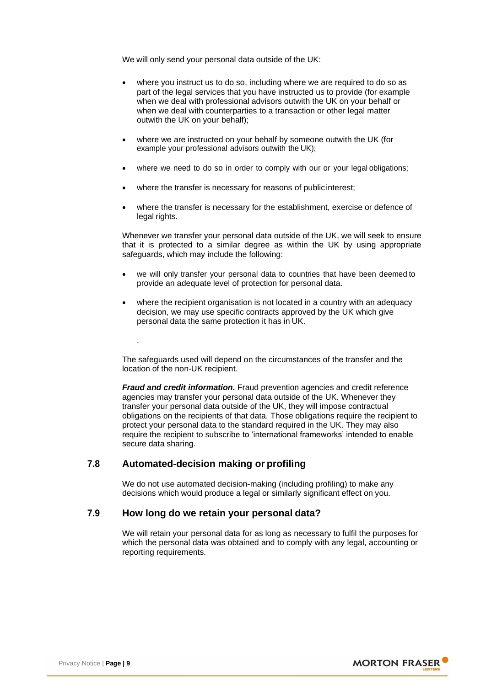We will only send your personal data outside of the UK:

- where you instruct us to do so, including where we are required to do so as part of the legal services that you have instructed us to provide (for example when we deal with professional advisors outwith the UK on your behalf or when we deal with counterparties to a transaction or other legal matter outwith the UK on your behalf);
- where we are instructed on your behalf by someone outwith the UK (for example your professional advisors outwith the UK);
- where we need to do so in order to comply with our or your legal obligations;
- where the transfer is necessary for reasons of public interest;
- where the transfer is necessary for the establishment, exercise or defence of legal rights.

Whenever we transfer your personal data outside of the UK, we will seek to ensure that it is protected to a similar degree as within the UK by using appropriate safeguards, which may include the following:

- we will only transfer your personal data to countries that have been deemed to provide an adequate level of protection for personal data.
- where the recipient organisation is not located in a country with an adequacy decision, we may use specific contracts approved by the UK which give personal data the same protection it has in UK.

The safeguards used will depend on the circumstances of the transfer and the location of the non-UK recipient.

*Fraud and credit information.* Fraud prevention agencies and credit reference agencies may transfer your personal data outside of the UK. Whenever they transfer your personal data outside of the UK, they will impose contractual obligations on the recipients of that data. Those obligations require the recipient to protect your personal data to the standard required in the UK. They may also require the recipient to subscribe to 'international frameworks' intended to enable secure data sharing.

#### **7.8 Automated-decision making or profiling**

.

We do not use automated decision-making (including profiling) to make any decisions which would produce a legal or similarly significant effect on you.

#### **7.9 How long do we retain your personal data?**

We will retain your personal data for as long as necessary to fulfil the purposes for which the personal data was obtained and to comply with any legal, accounting or reporting requirements.

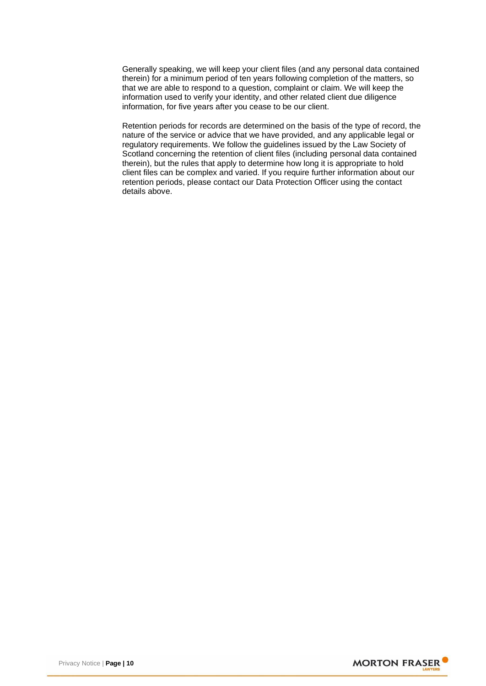Generally speaking, we will keep your client files (and any personal data contained therein) for a minimum period of ten years following completion of the matters, so that we are able to respond to a question, complaint or claim. We will keep the information used to verify your identity, and other related client due diligence information, for five years after you cease to be our client.

Retention periods for records are determined on the basis of the type of record, the nature of the service or advice that we have provided, and any applicable legal or regulatory requirements. We follow the guidelines issued by the Law Society of Scotland concerning the retention of client files (including personal data contained therein), but the rules that apply to determine how long it is appropriate to hold client files can be complex and varied. If you require further information about our retention periods, please contact our Data Protection Officer using the contact details above.

**MORTON FRASER**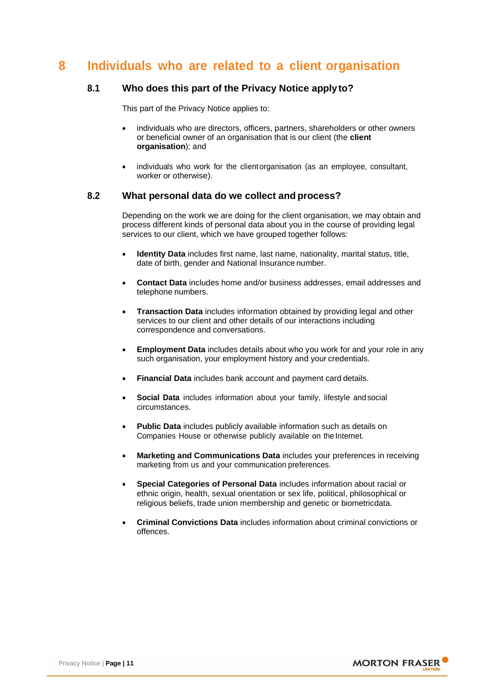## **8 Individuals who are related to a client organisation**

#### **8.1 Who does this part of the Privacy Notice applyto?**

This part of the Privacy Notice applies to:

- individuals who are directors, officers, partners, shareholders or other owners or beneficial owner of an organisation that is our client (the **client organisation**); and
- individuals who work for the clientorganisation (as an employee, consultant, worker or otherwise).

#### **8.2 What personal data do we collect and process?**

Depending on the work we are doing for the client organisation, we may obtain and process different kinds of personal data about you in the course of providing legal services to our client, which we have grouped together follows:

- **Identity Data** includes first name, last name, nationality, marital status, title, date of birth, gender and National Insurance number.
- **Contact Data** includes home and/or business addresses, email addresses and telephone numbers.
- **Transaction Data** includes information obtained by providing legal and other services to our client and other details of our interactions including correspondence and conversations.
- **Employment Data** includes details about who you work for and your role in any such organisation, your employment history and your credentials.
- **Financial Data** includes bank account and payment card details.
- **Social Data** includes information about your family, lifestyle and social circumstances.
- **Public Data** includes publicly available information such as details on Companies House or otherwise publicly available on the Internet.
- **Marketing and Communications Data** includes your preferences in receiving marketing from us and your communication preferences.
- **Special Categories of Personal Data** includes information about racial or ethnic origin, health, sexual orientation or sex life, political, philosophical or religious beliefs, trade union membership and genetic or biometricdata.
- **Criminal Convictions Data** includes information about criminal convictions or offences.

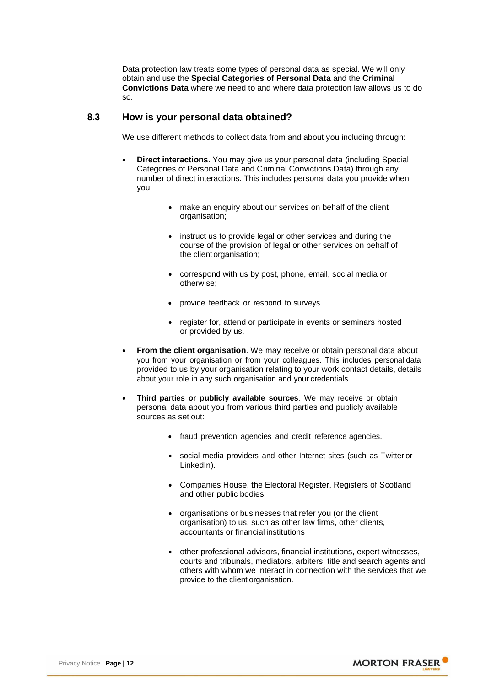Data protection law treats some types of personal data as special. We will only obtain and use the **Special Categories of Personal Data** and the **Criminal Convictions Data** where we need to and where data protection law allows us to do so.

#### **8.3 How is your personal data obtained?**

We use different methods to collect data from and about you including through:

- **Direct interactions**. You may give us your personal data (including Special Categories of Personal Data and Criminal Convictions Data) through any number of direct interactions. This includes personal data you provide when you:
	- make an enquiry about our services on behalf of the client organisation;
	- instruct us to provide legal or other services and during the course of the provision of legal or other services on behalf of the clientorganisation;
	- correspond with us by post, phone, email, social media or otherwise;
	- provide feedback or respond to surveys
	- register for, attend or participate in events or seminars hosted or provided by us.
- **From the client organisation**. We may receive or obtain personal data about you from your organisation or from your colleagues. This includes personal data provided to us by your organisation relating to your work contact details, details about your role in any such organisation and your credentials.
- **Third parties or publicly available sources**. We may receive or obtain personal data about you from various third parties and publicly available sources as set out:
	- fraud prevention agencies and credit reference agencies.
	- social media providers and other Internet sites (such as Twitter or LinkedIn).
	- Companies House, the Electoral Register, Registers of Scotland and other public bodies.
	- organisations or businesses that refer you (or the client organisation) to us, such as other law firms, other clients, accountants or financial institutions
	- other professional advisors, financial institutions, expert witnesses, courts and tribunals, mediators, arbiters, title and search agents and others with whom we interact in connection with the services that we provide to the client organisation.

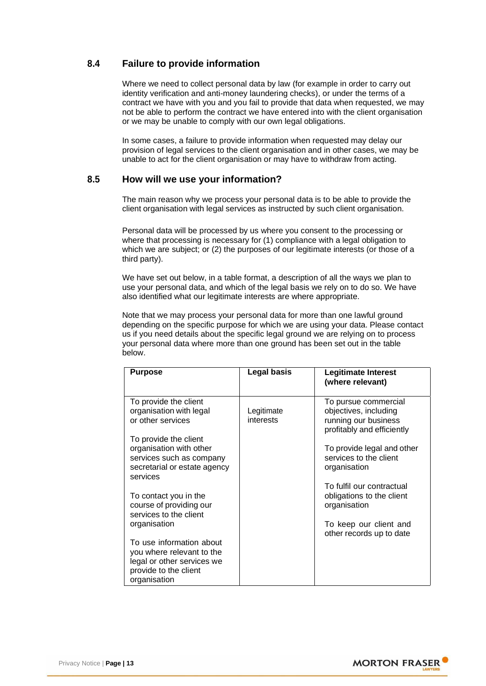#### **8.4 Failure to provide information**

Where we need to collect personal data by law (for example in order to carry out identity verification and anti-money laundering checks), or under the terms of a contract we have with you and you fail to provide that data when requested, we may not be able to perform the contract we have entered into with the client organisation or we may be unable to comply with our own legal obligations.

In some cases, a failure to provide information when requested may delay our provision of legal services to the client organisation and in other cases, we may be unable to act for the client organisation or may have to withdraw from acting.

#### **8.5 How will we use your information?**

The main reason why we process your personal data is to be able to provide the client organisation with legal services as instructed by such client organisation.

Personal data will be processed by us where you consent to the processing or where that processing is necessary for (1) compliance with a legal obligation to which we are subject; or (2) the purposes of our legitimate interests (or those of a third party).

We have set out below, in a table format, a description of all the ways we plan to use your personal data, and which of the legal basis we rely on to do so. We have also identified what our legitimate interests are where appropriate.

Note that we may process your personal data for more than one lawful ground depending on the specific purpose for which we are using your data. Please contact us if you need details about the specific legal ground we are relying on to process your personal data where more than one ground has been set out in the table below.

| <b>Purpose</b>                                                                                                                                                                                                                                                                                  | Legal basis             | <b>Legitimate Interest</b><br>(where relevant)                                                                                                                                                                                                                                  |
|-------------------------------------------------------------------------------------------------------------------------------------------------------------------------------------------------------------------------------------------------------------------------------------------------|-------------------------|---------------------------------------------------------------------------------------------------------------------------------------------------------------------------------------------------------------------------------------------------------------------------------|
| To provide the client<br>organisation with legal<br>or other services<br>To provide the client<br>organisation with other<br>services such as company<br>secretarial or estate agency<br>services<br>To contact you in the<br>course of providing our<br>services to the client<br>organisation | Legitimate<br>interests | To pursue commercial<br>objectives, including<br>running our business<br>profitably and efficiently<br>To provide legal and other<br>services to the client<br>organisation<br>To fulfil our contractual<br>obligations to the client<br>organisation<br>To keep our client and |
| To use information about<br>you where relevant to the<br>legal or other services we<br>provide to the client<br>organisation                                                                                                                                                                    |                         | other records up to date                                                                                                                                                                                                                                                        |

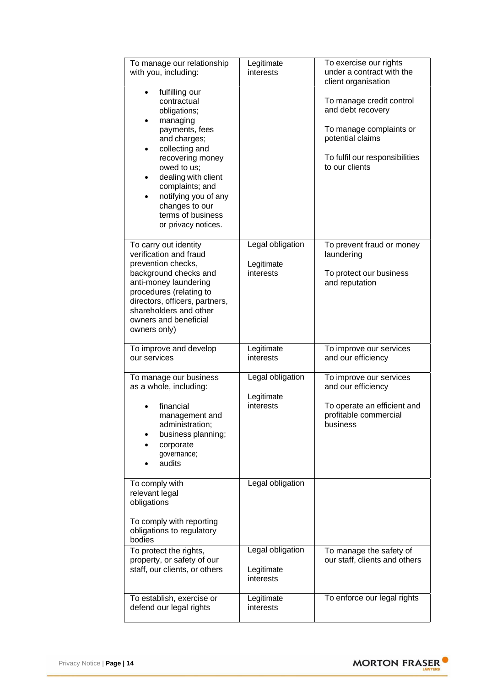| To manage our relationship<br>with you, including:<br>fulfilling our<br>contractual<br>obligations;<br>managing<br>payments, fees<br>and charges;<br>collecting and<br>recovering money<br>owed to us;<br>dealing with client<br>complaints; and<br>notifying you of any<br>٠<br>changes to our<br>terms of business<br>or privacy notices. | Legitimate<br>interests                     | To exercise our rights<br>under a contract with the<br>client organisation<br>To manage credit control<br>and debt recovery<br>To manage complaints or<br>potential claims<br>To fulfil our responsibilities<br>to our clients |
|---------------------------------------------------------------------------------------------------------------------------------------------------------------------------------------------------------------------------------------------------------------------------------------------------------------------------------------------|---------------------------------------------|--------------------------------------------------------------------------------------------------------------------------------------------------------------------------------------------------------------------------------|
| To carry out identity<br>verification and fraud<br>prevention checks,<br>background checks and<br>anti-money laundering<br>procedures (relating to<br>directors, officers, partners,<br>shareholders and other<br>owners and beneficial<br>owners only)                                                                                     | Legal obligation<br>Legitimate<br>interests | To prevent fraud or money<br>laundering<br>To protect our business<br>and reputation                                                                                                                                           |
| To improve and develop<br>our services                                                                                                                                                                                                                                                                                                      | Legitimate<br>interests                     | To improve our services<br>and our efficiency                                                                                                                                                                                  |
| To manage our business<br>as a whole, including:<br>financial<br>management and<br>administration;<br>business planning;<br>corporate<br>governance;<br>audits                                                                                                                                                                              | Legal obligation<br>Legitimate<br>interests | To improve our services<br>and our efficiency<br>To operate an efficient and<br>profitable commercial<br>business                                                                                                              |
| To comply with<br>relevant legal<br>obligations<br>To comply with reporting<br>obligations to regulatory<br>bodies                                                                                                                                                                                                                          | Legal obligation                            |                                                                                                                                                                                                                                |
| To protect the rights,<br>property, or safety of our<br>staff, our clients, or others                                                                                                                                                                                                                                                       | Legal obligation<br>Legitimate<br>interests | To manage the safety of<br>our staff, clients and others                                                                                                                                                                       |
| To establish, exercise or<br>defend our legal rights                                                                                                                                                                                                                                                                                        | Legitimate<br>interests                     | To enforce our legal rights                                                                                                                                                                                                    |

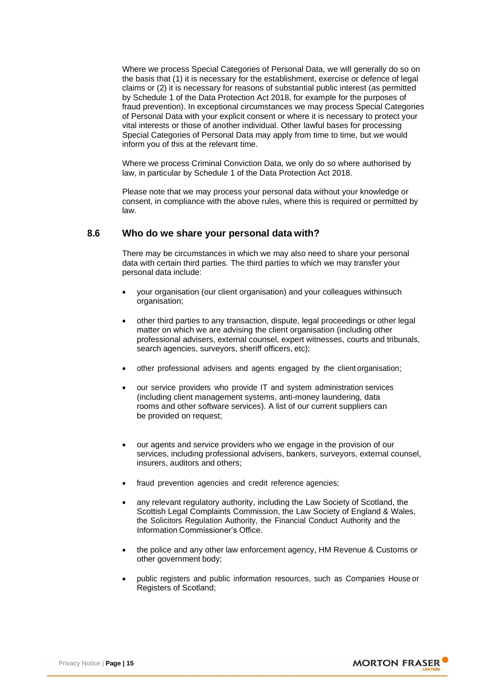Where we process Special Categories of Personal Data, we will generally do so on the basis that (1) it is necessary for the establishment, exercise or defence of legal claims or (2) it is necessary for reasons of substantial public interest (as permitted by Schedule 1 of the Data Protection Act 2018, for example for the purposes of fraud prevention). In exceptional circumstances we may process Special Categories of Personal Data with your explicit consent or where it is necessary to protect your vital interests or those of another individual. Other lawful bases for processing Special Categories of Personal Data may apply from time to time, but we would inform you of this at the relevant time.

Where we process Criminal Conviction Data, we only do so where authorised by law, in particular by Schedule 1 of the Data Protection Act 2018.

Please note that we may process your personal data without your knowledge or consent, in compliance with the above rules, where this is required or permitted by law.

#### **8.6 Who do we share your personal data with?**

There may be circumstances in which we may also need to share your personal data with certain third parties. The third parties to which we may transfer your personal data include:

- your organisation (our client organisation) and your colleagues withinsuch organisation;
- other third parties to any transaction, dispute, legal proceedings or other legal matter on which we are advising the client organisation (including other professional advisers, external counsel, expert witnesses, courts and tribunals, search agencies, surveyors, sheriff officers, etc);
- other professional advisers and agents engaged by the client organisation;
- our service providers who provide IT and system administration services (including client management systems, anti-money laundering, data rooms and other software services). A list of our current suppliers can be provided on request;
- our agents and service providers who we engage in the provision of our services, including professional advisers, bankers, surveyors, external counsel, insurers, auditors and others;
- fraud prevention agencies and credit reference agencies;
- any relevant regulatory authority, including the Law Society of Scotland, the Scottish Legal Complaints Commission, the Law Society of England & Wales, the Solicitors Regulation Authority, the Financial Conduct Authority and the Information Commissioner's Office.
- the police and any other law enforcement agency, HM Revenue & Customs or other government body;
- public registers and public information resources, such as Companies Houseor Registers of Scotland;

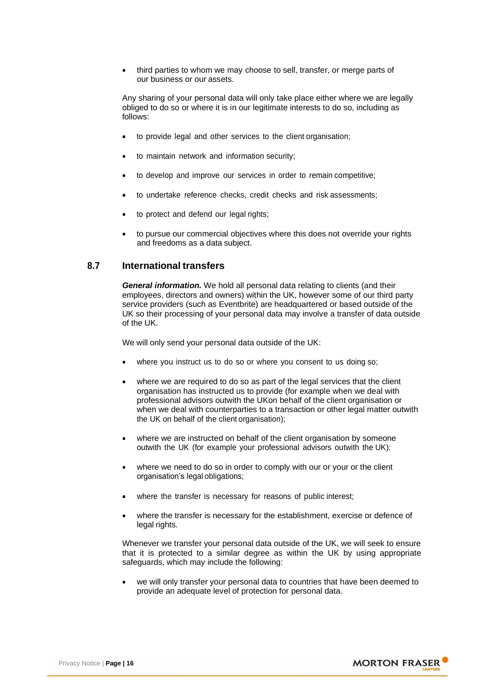• third parties to whom we may choose to sell, transfer, or merge parts of our business or our assets.

Any sharing of your personal data will only take place either where we are legally obliged to do so or where it is in our legitimate interests to do so, including as follows:

- to provide legal and other services to the client organisation;
- to maintain network and information security;
- to develop and improve our services in order to remain competitive;
- to undertake reference checks, credit checks and risk assessments;
- to protect and defend our legal rights;
- to pursue our commercial objectives where this does not override your rights and freedoms as a data subject.

#### **8.7 International transfers**

*General information.* We hold all personal data relating to clients (and their employees, directors and owners) within the UK, however some of our third party service providers (such as Eventbrite) are headquartered or based outside of the UK so their processing of your personal data may involve a transfer of data outside of the UK.

We will only send your personal data outside of the UK:

- where you instruct us to do so or where you consent to us doing so;
- where we are required to do so as part of the legal services that the client organisation has instructed us to provide (for example when we deal with professional advisors outwith the UKon behalf of the client organisation or when we deal with counterparties to a transaction or other legal matter outwith the UK on behalf of the client organisation);
- where we are instructed on behalf of the client organisation by someone outwith the UK (for example your professional advisors outwith the UK);
- where we need to do so in order to comply with our or your or the client organisation's legal obligations;
- where the transfer is necessary for reasons of public interest;
- where the transfer is necessary for the establishment, exercise or defence of legal rights.

Whenever we transfer your personal data outside of the UK, we will seek to ensure that it is protected to a similar degree as within the UK by using appropriate safeguards, which may include the following:

• we will only transfer your personal data to countries that have been deemed to provide an adequate level of protection for personal data.

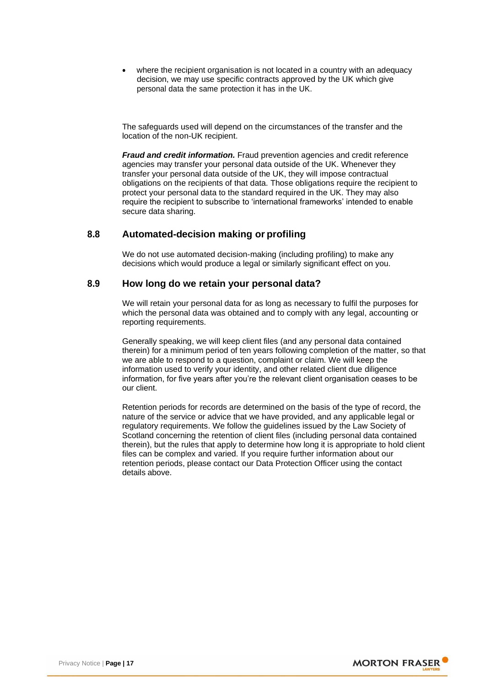where the recipient organisation is not located in a country with an adequacy decision, we may use specific contracts approved by the UK which give personal data the same protection it has in the UK.

The safeguards used will depend on the circumstances of the transfer and the location of the non-UK recipient.

*Fraud and credit information.* Fraud prevention agencies and credit reference agencies may transfer your personal data outside of the UK. Whenever they transfer your personal data outside of the UK, they will impose contractual obligations on the recipients of that data. Those obligations require the recipient to protect your personal data to the standard required in the UK. They may also require the recipient to subscribe to 'international frameworks' intended to enable secure data sharing.

#### **8.8 Automated-decision making or profiling**

We do not use automated decision-making (including profiling) to make any decisions which would produce a legal or similarly significant effect on you.

#### **8.9 How long do we retain your personal data?**

We will retain your personal data for as long as necessary to fulfil the purposes for which the personal data was obtained and to comply with any legal, accounting or reporting requirements.

Generally speaking, we will keep client files (and any personal data contained therein) for a minimum period of ten years following completion of the matter, so that we are able to respond to a question, complaint or claim. We will keep the information used to verify your identity, and other related client due diligence information, for five years after you're the relevant client organisation ceases to be our client.

Retention periods for records are determined on the basis of the type of record, the nature of the service or advice that we have provided, and any applicable legal or regulatory requirements. We follow the guidelines issued by the Law Society of Scotland concerning the retention of client files (including personal data contained therein), but the rules that apply to determine how long it is appropriate to hold client files can be complex and varied. If you require further information about our retention periods, please contact our Data Protection Officer using the contact details above.

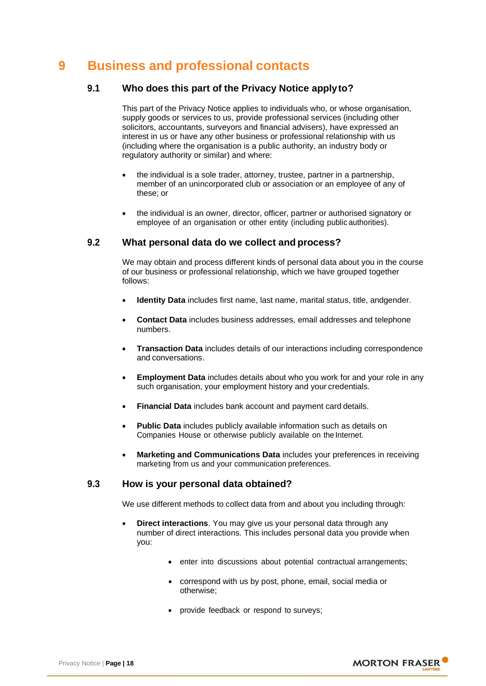# **9 Business and professional contacts**

#### **9.1 Who does this part of the Privacy Notice applyto?**

This part of the Privacy Notice applies to individuals who, or whose organisation, supply goods or services to us, provide professional services (including other solicitors, accountants, surveyors and financial advisers), have expressed an interest in us or have any other business or professional relationship with us (including where the organisation is a public authority, an industry body or regulatory authority or similar) and where:

- the individual is a sole trader, attorney, trustee, partner in a partnership, member of an unincorporated club or association or an employee of any of these; or
- the individual is an owner, director, officer, partner or authorised signatory or employee of an organisation or other entity (including public authorities).

#### **9.2 What personal data do we collect and process?**

We may obtain and process different kinds of personal data about you in the course of our business or professional relationship, which we have grouped together follows:

- **Identity Data** includes first name, last name, marital status, title, andgender.
- **Contact Data** includes business addresses, email addresses and telephone numbers.
- **Transaction Data** includes details of our interactions including correspondence and conversations.
- **Employment Data** includes details about who you work for and your role in any such organisation, your employment history and your credentials.
- **Financial Data** includes bank account and payment card details.
- **Public Data** includes publicly available information such as details on Companies House or otherwise publicly available on the Internet.
- **Marketing and Communications Data** includes your preferences in receiving marketing from us and your communication preferences.

#### **9.3 How is your personal data obtained?**

We use different methods to collect data from and about you including through:

- **Direct interactions**. You may give us your personal data through any number of direct interactions. This includes personal data you provide when you:
	- enter into discussions about potential contractual arrangements;
	- correspond with us by post, phone, email, social media or otherwise;
	- provide feedback or respond to surveys;

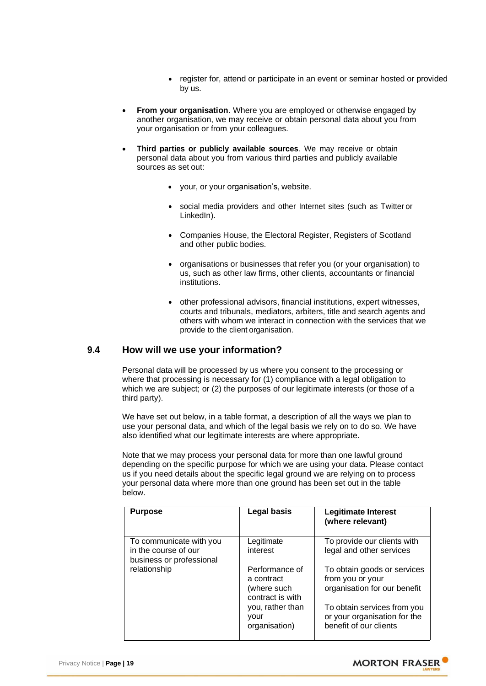- register for, attend or participate in an event or seminar hosted or provided by us.
- **From your organisation**. Where you are employed or otherwise engaged by another organisation, we may receive or obtain personal data about you from your organisation or from your colleagues.
- **Third parties or publicly available sources**. We may receive or obtain personal data about you from various third parties and publicly available sources as set out:
	- your, or your organisation's, website.
	- social media providers and other Internet sites (such as Twitter or LinkedIn).
	- Companies House, the Electoral Register, Registers of Scotland and other public bodies.
	- organisations or businesses that refer you (or your organisation) to us, such as other law firms, other clients, accountants or financial institutions.
	- other professional advisors, financial institutions, expert witnesses, courts and tribunals, mediators, arbiters, title and search agents and others with whom we interact in connection with the services that we provide to the client organisation.

#### **9.4 How will we use your information?**

Personal data will be processed by us where you consent to the processing or where that processing is necessary for (1) compliance with a legal obligation to which we are subject; or (2) the purposes of our legitimate interests (or those of a third party).

We have set out below, in a table format, a description of all the ways we plan to use your personal data, and which of the legal basis we rely on to do so. We have also identified what our legitimate interests are where appropriate.

Note that we may process your personal data for more than one lawful ground depending on the specific purpose for which we are using your data. Please contact us if you need details about the specific legal ground we are relying on to process your personal data where more than one ground has been set out in the table below.

| <b>Purpose</b>                                                              | Legal basis                                                     | <b>Legitimate Interest</b><br>(where relevant)                                        |
|-----------------------------------------------------------------------------|-----------------------------------------------------------------|---------------------------------------------------------------------------------------|
| To communicate with you<br>in the course of our<br>business or professional | Legitimate<br>interest                                          | To provide our clients with<br>legal and other services                               |
| relationship                                                                | Performance of<br>a contract<br>(where such<br>contract is with | To obtain goods or services<br>from you or your<br>organisation for our benefit       |
|                                                                             | you, rather than<br>your<br>organisation)                       | To obtain services from you<br>or your organisation for the<br>benefit of our clients |

**MORTON FRASER**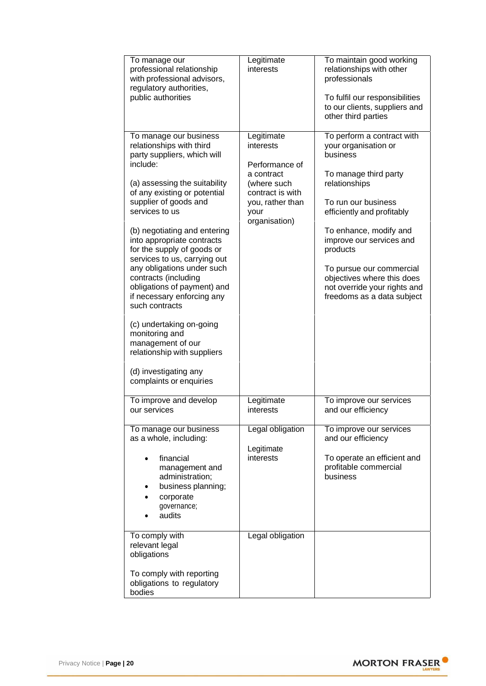| To manage our<br>professional relationship<br>with professional advisors,<br>regulatory authorities,<br>public authorities                                                                                                                                                                                                                                                                                                                                                                                                                                                                                                       | Legitimate<br>interests                                                                                                                 | To maintain good working<br>relationships with other<br>professionals<br>To fulfil our responsibilities<br>to our clients, suppliers and<br>other third parties                                                                                                                                                                                         |
|----------------------------------------------------------------------------------------------------------------------------------------------------------------------------------------------------------------------------------------------------------------------------------------------------------------------------------------------------------------------------------------------------------------------------------------------------------------------------------------------------------------------------------------------------------------------------------------------------------------------------------|-----------------------------------------------------------------------------------------------------------------------------------------|---------------------------------------------------------------------------------------------------------------------------------------------------------------------------------------------------------------------------------------------------------------------------------------------------------------------------------------------------------|
| To manage our business<br>relationships with third<br>party suppliers, which will<br>include:<br>(a) assessing the suitability<br>of any existing or potential<br>supplier of goods and<br>services to us<br>(b) negotiating and entering<br>into appropriate contracts<br>for the supply of goods or<br>services to us, carrying out<br>any obligations under such<br>contracts (including<br>obligations of payment) and<br>if necessary enforcing any<br>such contracts<br>(c) undertaking on-going<br>monitoring and<br>management of our<br>relationship with suppliers<br>(d) investigating any<br>complaints or enquiries | Legitimate<br>interests<br>Performance of<br>a contract<br>(where such<br>contract is with<br>you, rather than<br>your<br>organisation) | To perform a contract with<br>your organisation or<br>business<br>To manage third party<br>relationships<br>To run our business<br>efficiently and profitably<br>To enhance, modify and<br>improve our services and<br>products<br>To pursue our commercial<br>objectives where this does<br>not override your rights and<br>freedoms as a data subject |
| To improve and develop<br>our services                                                                                                                                                                                                                                                                                                                                                                                                                                                                                                                                                                                           | Legitimate<br>interests                                                                                                                 | To improve our services<br>and our efficiency                                                                                                                                                                                                                                                                                                           |
| To manage our business<br>as a whole, including:<br>financial<br>management and<br>administration;<br>business planning;<br>corporate<br>governance;<br>audits                                                                                                                                                                                                                                                                                                                                                                                                                                                                   | Legal obligation<br>Legitimate<br>interests                                                                                             | To improve our services<br>and our efficiency<br>To operate an efficient and<br>profitable commercial<br>business                                                                                                                                                                                                                                       |
| To comply with<br>relevant legal<br>obligations<br>To comply with reporting<br>obligations to regulatory<br>bodies                                                                                                                                                                                                                                                                                                                                                                                                                                                                                                               | Legal obligation                                                                                                                        |                                                                                                                                                                                                                                                                                                                                                         |

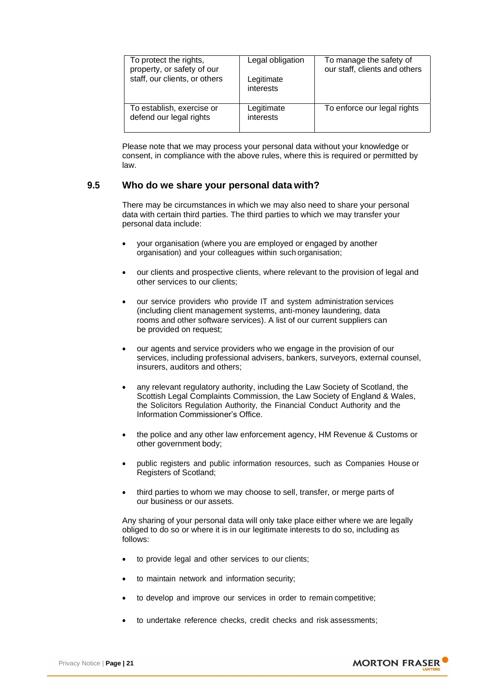| To protect the rights,<br>property, or safety of our<br>staff, our clients, or others | Legal obligation<br>Legitimate<br>interests | To manage the safety of<br>our staff, clients and others |
|---------------------------------------------------------------------------------------|---------------------------------------------|----------------------------------------------------------|
| To establish, exercise or<br>defend our legal rights                                  | Legitimate<br>interests                     | To enforce our legal rights                              |

Please note that we may process your personal data without your knowledge or consent, in compliance with the above rules, where this is required or permitted by law.

#### **9.5 Who do we share your personal data with?**

There may be circumstances in which we may also need to share your personal data with certain third parties. The third parties to which we may transfer your personal data include:

- your organisation (where you are employed or engaged by another organisation) and your colleagues within suchorganisation;
- our clients and prospective clients, where relevant to the provision of legal and other services to our clients;
- our service providers who provide IT and system administration services (including client management systems, anti-money laundering, data rooms and other software services). A list of our current suppliers can be provided on request;
- our agents and service providers who we engage in the provision of our services, including professional advisers, bankers, surveyors, external counsel, insurers, auditors and others;
- any relevant regulatory authority, including the Law Society of Scotland, the Scottish Legal Complaints Commission, the Law Society of England & Wales, the Solicitors Regulation Authority, the Financial Conduct Authority and the Information Commissioner's Office.
- the police and any other law enforcement agency, HM Revenue & Customs or other government body;
- public registers and public information resources, such as Companies House or Registers of Scotland;
- third parties to whom we may choose to sell, transfer, or merge parts of our business or our assets.

Any sharing of your personal data will only take place either where we are legally obliged to do so or where it is in our legitimate interests to do so, including as follows:

- to provide legal and other services to our clients;
- to maintain network and information security;
- to develop and improve our services in order to remain competitive;
- to undertake reference checks, credit checks and risk assessments;

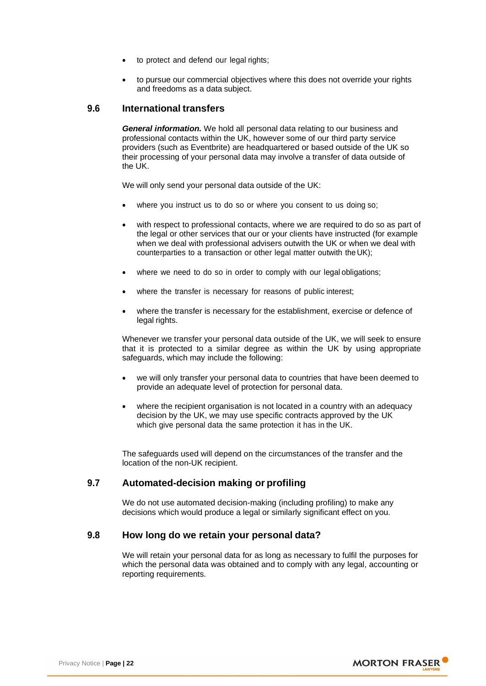- to protect and defend our legal rights;
- to pursue our commercial objectives where this does not override your rights and freedoms as a data subject.

#### **9.6 International transfers**

*General information.* We hold all personal data relating to our business and professional contacts within the UK, however some of our third party service providers (such as Eventbrite) are headquartered or based outside of the UK so their processing of your personal data may involve a transfer of data outside of the UK.

We will only send your personal data outside of the UK:

- where you instruct us to do so or where you consent to us doing so;
- with respect to professional contacts, where we are required to do so as part of the legal or other services that our or your clients have instructed (for example when we deal with professional advisers outwith the UK or when we deal with counterparties to a transaction or other legal matter outwith the UK);
- where we need to do so in order to comply with our legal obligations;
- where the transfer is necessary for reasons of public interest;
- where the transfer is necessary for the establishment, exercise or defence of legal rights.

Whenever we transfer your personal data outside of the UK, we will seek to ensure that it is protected to a similar degree as within the UK by using appropriate safeguards, which may include the following:

- we will only transfer your personal data to countries that have been deemed to provide an adequate level of protection for personal data.
- where the recipient organisation is not located in a country with an adequacy decision by the UK, we may use specific contracts approved by the UK which give personal data the same protection it has in the UK.

The safeguards used will depend on the circumstances of the transfer and the location of the non-UK recipient.

#### **9.7 Automated-decision making or profiling**

We do not use automated decision-making (including profiling) to make any decisions which would produce a legal or similarly significant effect on you.

#### **9.8 How long do we retain your personal data?**

We will retain your personal data for as long as necessary to fulfil the purposes for which the personal data was obtained and to comply with any legal, accounting or reporting requirements.

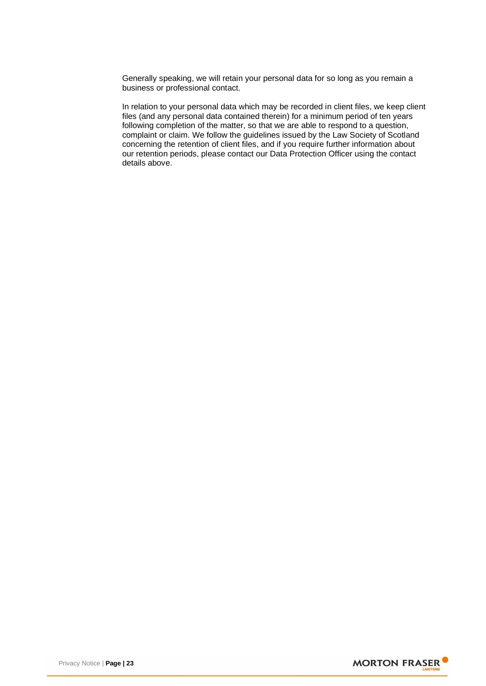Generally speaking, we will retain your personal data for so long as you remain a business or professional contact.

In relation to your personal data which may be recorded in client files, we keep client files (and any personal data contained therein) for a minimum period of ten years following completion of the matter, so that we are able to respond to a question, complaint or claim. We follow the guidelines issued by the Law Society of Scotland concerning the retention of client files, and if you require further information about our retention periods, please contact our Data Protection Officer using the contact details above.

**MORTON FRASER**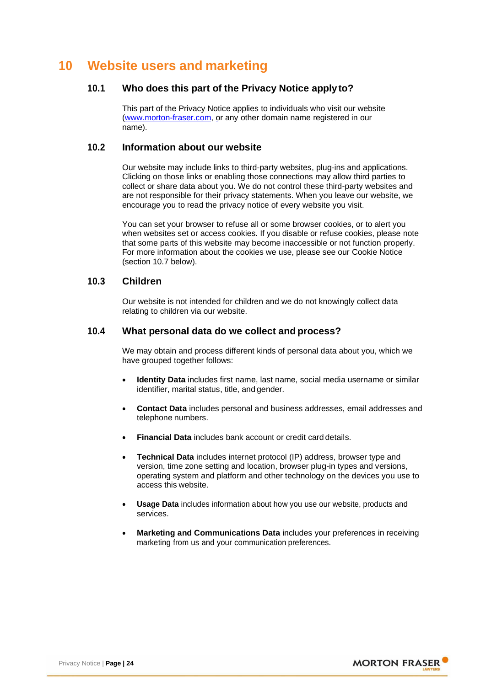# **10 Website users and marketing**

#### **10.1 Who does this part of the Privacy Notice applyto?**

This part of the Privacy Notice applies to individuals who visit our website [\(www.morton-fraser.com,](http://www.morton-fraser.com/) or any other domain name registered in our name).

#### **10.2 Information about our website**

Our website may include links to third-party websites, plug-ins and applications. Clicking on those links or enabling those connections may allow third parties to collect or share data about you. We do not control these third-party websites and are not responsible for their privacy statements. When you leave our website, we encourage you to read the privacy notice of every website you visit.

You can set your browser to refuse all or some browser cookies, or to alert you when websites set or access cookies. If you disable or refuse cookies, please note that some parts of this website may become inaccessible or not function properly. For more information about the cookies we use, please see our Cookie Notice (section 10.7 below).

#### **10.3 Children**

Our website is not intended for children and we do not knowingly collect data relating to children via our website.

#### **10.4 What personal data do we collect and process?**

We may obtain and process different kinds of personal data about you, which we have grouped together follows:

- **Identity Data** includes first name, last name, social media username or similar identifier, marital status, title, and gender.
- **Contact Data** includes personal and business addresses, email addresses and telephone numbers.
- **Financial Data** includes bank account or credit card details.
- **Technical Data** includes internet protocol (IP) address, browser type and version, time zone setting and location, browser plug-in types and versions, operating system and platform and other technology on the devices you use to access this website.
- **Usage Data** includes information about how you use our website, products and services.
- **Marketing and Communications Data** includes your preferences in receiving marketing from us and your communication preferences.

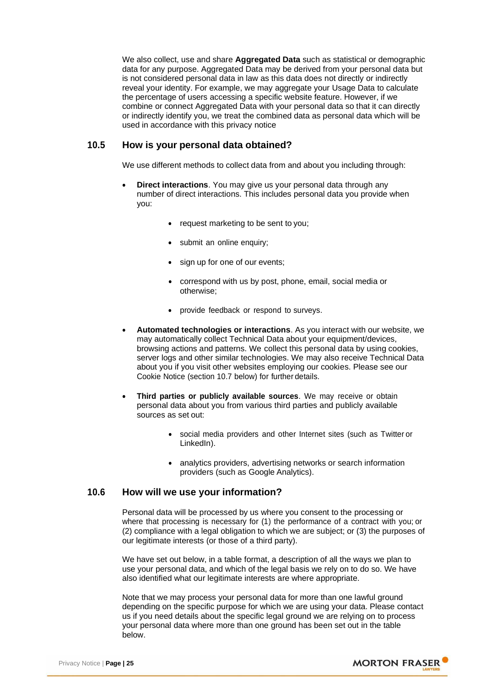We also collect, use and share **Aggregated Data** such as statistical or demographic data for any purpose. Aggregated Data may be derived from your personal data but is not considered personal data in law as this data does not directly or indirectly reveal your identity. For example, we may aggregate your Usage Data to calculate the percentage of users accessing a specific website feature. However, if we combine or connect Aggregated Data with your personal data so that it can directly or indirectly identify you, we treat the combined data as personal data which will be used in accordance with this privacy notice

#### **10.5 How is your personal data obtained?**

We use different methods to collect data from and about you including through:

- **Direct interactions**. You may give us your personal data through any number of direct interactions. This includes personal data you provide when you:
	- request marketing to be sent to you;
	- submit an online enquiry;
	- sign up for one of our events;
	- correspond with us by post, phone, email, social media or otherwise;
	- provide feedback or respond to surveys.
- **Automated technologies or interactions**. As you interact with our website, we may automatically collect Technical Data about your equipment/devices, browsing actions and patterns. We collect this personal data by using cookies, server logs and other similar technologies. We may also receive Technical Data about you if you visit other websites employing our cookies. Please see our Cookie Notice (section 10.7 below) for further details.
- **Third parties or publicly available sources**. We may receive or obtain personal data about you from various third parties and publicly available sources as set out:
	- social media providers and other Internet sites (such as Twitter or LinkedIn).
	- analytics providers, advertising networks or search information providers (such as Google Analytics).

#### **10.6 How will we use your information?**

Personal data will be processed by us where you consent to the processing or where that processing is necessary for (1) the performance of a contract with you; or (2) compliance with a legal obligation to which we are subject; or (3) the purposes of our legitimate interests (or those of a third party).

We have set out below, in a table format, a description of all the ways we plan to use your personal data, and which of the legal basis we rely on to do so. We have also identified what our legitimate interests are where appropriate.

Note that we may process your personal data for more than one lawful ground depending on the specific purpose for which we are using your data. Please contact us if you need details about the specific legal ground we are relying on to process your personal data where more than one ground has been set out in the table below.

**MORTON FRASER**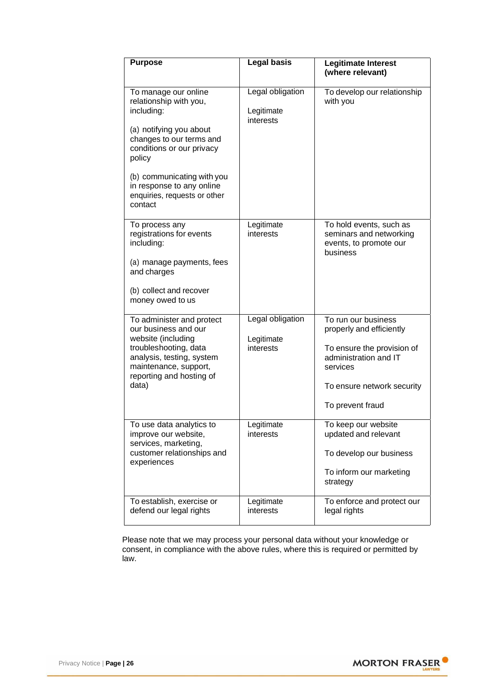| <b>Purpose</b>                                                                                                                                                                                                                                                   | <b>Legal basis</b>                          | <b>Legitimate Interest</b><br>(where relevant)                                                                                                                       |
|------------------------------------------------------------------------------------------------------------------------------------------------------------------------------------------------------------------------------------------------------------------|---------------------------------------------|----------------------------------------------------------------------------------------------------------------------------------------------------------------------|
| To manage our online<br>relationship with you,<br>including:<br>(a) notifying you about<br>changes to our terms and<br>conditions or our privacy<br>policy<br>(b) communicating with you<br>in response to any online<br>enquiries, requests or other<br>contact | Legal obligation<br>Legitimate<br>interests | To develop our relationship<br>with you                                                                                                                              |
| To process any<br>registrations for events<br>including:<br>(a) manage payments, fees<br>and charges<br>(b) collect and recover<br>money owed to us                                                                                                              | Legitimate<br>interests                     | To hold events, such as<br>seminars and networking<br>events, to promote our<br>business                                                                             |
| To administer and protect<br>our business and our<br>website (including<br>troubleshooting, data<br>analysis, testing, system<br>maintenance, support,<br>reporting and hosting of<br>data)                                                                      | Legal obligation<br>Legitimate<br>interests | To run our business<br>properly and efficiently<br>To ensure the provision of<br>administration and IT<br>services<br>To ensure network security<br>To prevent fraud |
| To use data analytics to<br>improve our website,<br>services, marketing,<br>customer relationships and<br>experiences                                                                                                                                            | Legitimate<br>interests                     | To keep our website<br>updated and relevant<br>To develop our business<br>To inform our marketing<br>strategy                                                        |
| To establish, exercise or<br>defend our legal rights                                                                                                                                                                                                             | Legitimate<br>interests                     | To enforce and protect our<br>legal rights                                                                                                                           |

Please note that we may process your personal data without your knowledge or consent, in compliance with the above rules, where this is required or permitted by law.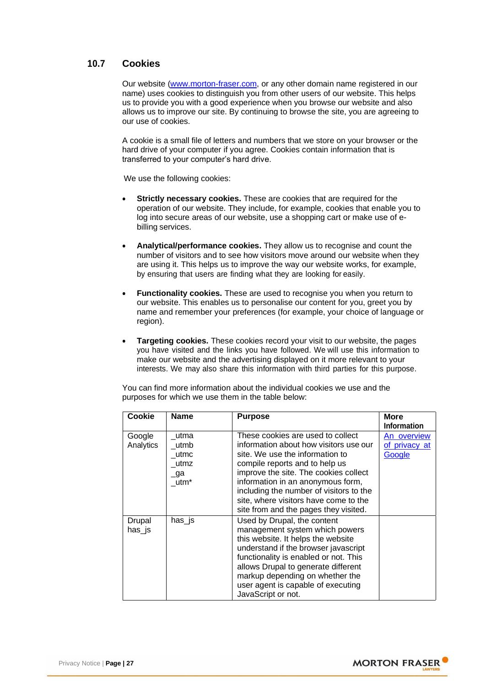#### **10.7 Cookies**

Our website [\(www.morton-fraser.com, o](http://www.morton-fraser.com/)r any other domain name registered in our name) uses cookies to distinguish you from other users of our website. This helps us to provide you with a good experience when you browse our website and also allows us to improve our site. By continuing to browse the site, you are agreeing to our use of cookies.

A cookie is a small file of letters and numbers that we store on your browser or the hard drive of your computer if you agree. Cookies contain information that is transferred to your computer's hard drive.

We use the following cookies:

- **Strictly necessary cookies.** These are cookies that are required for the operation of our website. They include, for example, cookies that enable you to log into secure areas of our website, use a shopping cart or make use of ebilling services.
- **Analytical/performance cookies.** They allow us to recognise and count the number of visitors and to see how visitors move around our website when they are using it. This helps us to improve the way our website works, for example, by ensuring that users are finding what they are looking for easily.
- **Functionality cookies.** These are used to recognise you when you return to our website. This enables us to personalise our content for you, greet you by name and remember your preferences (for example, your choice of language or region).
- **Targeting cookies.** These cookies record your visit to our website, the pages you have visited and the links you have followed. We will use this information to make our website and the advertising displayed on it more relevant to your interests. We may also share this information with third parties for this purpose.

| Cookie              | <b>Name</b>                                 | <b>Purpose</b>                                                                                                                                                                                                                                                                                                                                              | More<br><b>Information</b>             |
|---------------------|---------------------------------------------|-------------------------------------------------------------------------------------------------------------------------------------------------------------------------------------------------------------------------------------------------------------------------------------------------------------------------------------------------------------|----------------------------------------|
| Google<br>Analytics | utma<br>utmb<br>utmc<br>utmz<br>_ga<br>utm* | These cookies are used to collect<br>information about how visitors use our<br>site. We use the information to<br>compile reports and to help us<br>improve the site. The cookies collect<br>information in an anonymous form,<br>including the number of visitors to the<br>site, where visitors have come to the<br>site from and the pages they visited. | An overview<br>of privacy at<br>Google |
| Drupal<br>has_js    | has is                                      | Used by Drupal, the content<br>management system which powers<br>this website. It helps the website<br>understand if the browser javascript<br>functionality is enabled or not. This<br>allows Drupal to generate different<br>markup depending on whether the<br>user agent is capable of executing<br>JavaScript or not.                                  |                                        |

You can find more information about the individual cookies we use and the purposes for which we use them in the table below:

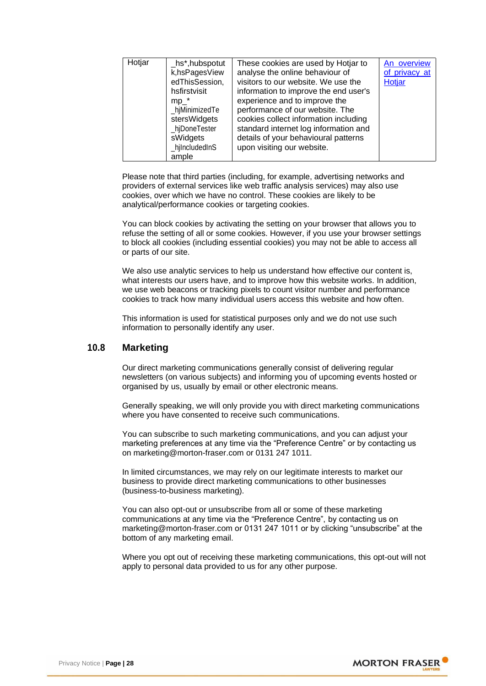| Hotjar<br>_hs*,hubspotut<br>k,hsPagesView<br>edThisSession,<br>hsfirstvisit<br>$mp$ <sup>*</sup><br>hjMinimizedTe<br>stersWidgets<br>hjDoneTester<br>sWidgets<br>_hjIncludedInS<br>ample | These cookies are used by Hotjar to<br>analyse the online behaviour of<br>visitors to our website. We use the<br>information to improve the end user's<br>experience and to improve the<br>performance of our website. The<br>cookies collect information including<br>standard internet log information and<br>details of your behavioural patterns<br>upon visiting our website. | An overview<br>of privacy at<br>Hotjar |
|------------------------------------------------------------------------------------------------------------------------------------------------------------------------------------------|------------------------------------------------------------------------------------------------------------------------------------------------------------------------------------------------------------------------------------------------------------------------------------------------------------------------------------------------------------------------------------|----------------------------------------|
|------------------------------------------------------------------------------------------------------------------------------------------------------------------------------------------|------------------------------------------------------------------------------------------------------------------------------------------------------------------------------------------------------------------------------------------------------------------------------------------------------------------------------------------------------------------------------------|----------------------------------------|

Please note that third parties (including, for example, advertising networks and providers of external services like web traffic analysis services) may also use cookies, over which we have no control. These cookies are likely to be analytical/performance cookies or targeting cookies.

You can block cookies by activating the setting on your browser that allows you to refuse the setting of all or some cookies. However, if you use your browser settings to block all cookies (including essential cookies) you may not be able to access all or parts of our site.

We also use analytic services to help us understand how effective our content is, what interests our users have, and to improve how this website works. In addition, we use web beacons or tracking pixels to count visitor number and performance cookies to track how many individual users access this website and how often.

This information is used for statistical purposes only and we do not use such information to personally identify any user.

#### **10.8 Marketing**

Our direct marketing communications generally consist of delivering regular newsletters (on various subjects) and informing you of upcoming events hosted or organised by us, usually by email or other electronic means.

Generally speaking, we will only provide you with direct marketing communications where you have consented to receive such communications.

You can subscribe to such marketing communications, and you can adjust your marketing preferences at any time via the "Preference Centre" or by contacting us on [marketing@morton-fraser.com o](mailto:marketing@morton-fraser.com)r 0131 247 1011.

In limited circumstances, we may rely on our legitimate interests to market our business to provide direct marketing communications to other businesses (business-to-business marketing).

You can also opt-out or unsubscribe from all or some of these marketing communications at any time via the "Preference Centre", by contacting us on [marketing@morton-fraser.com o](mailto:marketing@morton-fraser.com)r 0131 247 1011 or by clicking "unsubscribe" at the bottom of any marketing email.

Where you opt out of receiving these marketing communications, this opt-out will not apply to personal data provided to us for any other purpose.

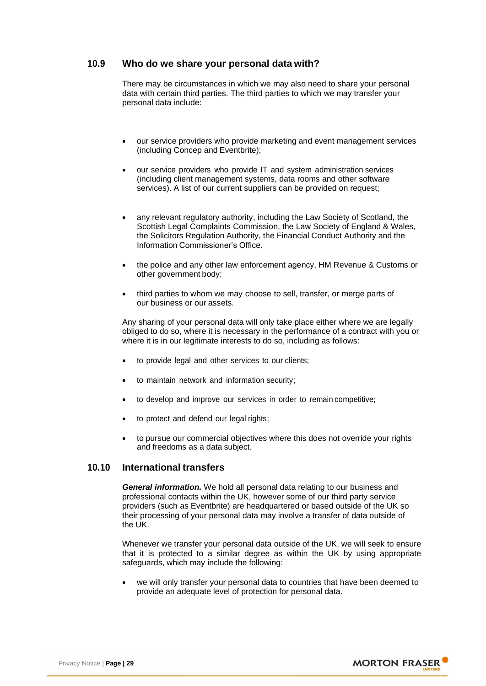#### **10.9 Who do we share your personal data with?**

There may be circumstances in which we may also need to share your personal data with certain third parties. The third parties to which we may transfer your personal data include:

- our service providers who provide marketing and event management services (including Concep and Eventbrite);
- our service providers who provide IT and system administration services (including client management systems, data rooms and other software services). A list of our current suppliers can be provided on request;
- any relevant regulatory authority, including the Law Society of Scotland, the Scottish Legal Complaints Commission, the Law Society of England & Wales, the Solicitors Regulation Authority, the Financial Conduct Authority and the Information Commissioner's Office.
- the police and any other law enforcement agency, HM Revenue & Customs or other government body;
- third parties to whom we may choose to sell, transfer, or merge parts of our business or our assets.

Any sharing of your personal data will only take place either where we are legally obliged to do so, where it is necessary in the performance of a contract with you or where it is in our legitimate interests to do so, including as follows:

- to provide legal and other services to our clients;
- to maintain network and information security;
- to develop and improve our services in order to remain competitive;
- to protect and defend our legal rights;
- to pursue our commercial objectives where this does not override your rights and freedoms as a data subject.

#### **10.10 International transfers**

*General information.* We hold all personal data relating to our business and professional contacts within the UK, however some of our third party service providers (such as Eventbrite) are headquartered or based outside of the UK so their processing of your personal data may involve a transfer of data outside of the UK.

Whenever we transfer your personal data outside of the UK, we will seek to ensure that it is protected to a similar degree as within the UK by using appropriate safeguards, which may include the following:

• we will only transfer your personal data to countries that have been deemed to provide an adequate level of protection for personal data.

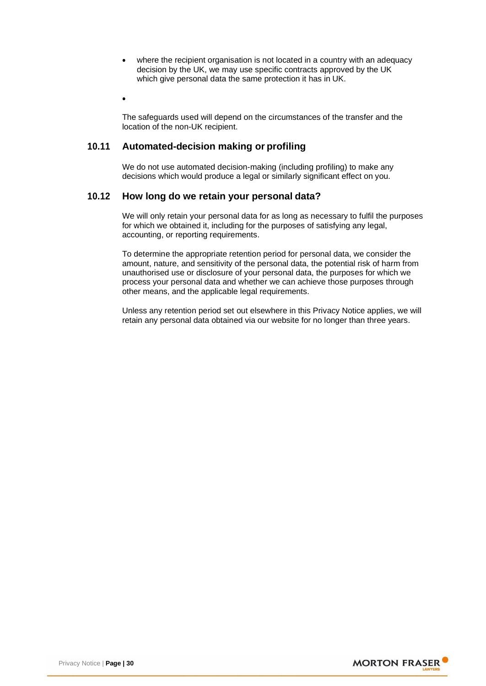- where the recipient organisation is not located in a country with an adequacy decision by the UK, we may use specific contracts approved by the UK which give personal data the same protection it has in UK.
- •

The safeguards used will depend on the circumstances of the transfer and the location of the non-UK recipient.

#### **10.11 Automated-decision making or profiling**

We do not use automated decision-making (including profiling) to make any decisions which would produce a legal or similarly significant effect on you.

#### **10.12 How long do we retain your personal data?**

We will only retain your personal data for as long as necessary to fulfil the purposes for which we obtained it, including for the purposes of satisfying any legal, accounting, or reporting requirements.

To determine the appropriate retention period for personal data, we consider the amount, nature, and sensitivity of the personal data, the potential risk of harm from unauthorised use or disclosure of your personal data, the purposes for which we process your personal data and whether we can achieve those purposes through other means, and the applicable legal requirements.

Unless any retention period set out elsewhere in this Privacy Notice applies, we will retain any personal data obtained via our website for no longer than three years.

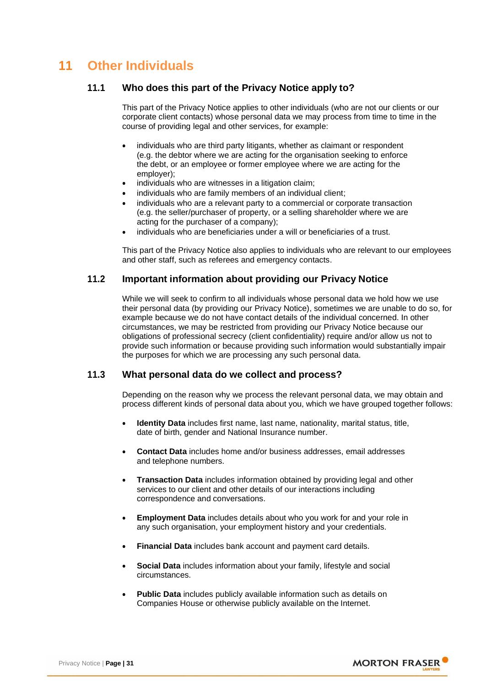# **11 Other Individuals**

#### **11.1 Who does this part of the Privacy Notice apply to?**

This part of the Privacy Notice applies to other individuals (who are not our clients or our corporate client contacts) whose personal data we may process from time to time in the course of providing legal and other services, for example:

- individuals who are third party litigants, whether as claimant or respondent (e.g. the debtor where we are acting for the organisation seeking to enforce the debt, or an employee or former employee where we are acting for the employer);
- individuals who are witnesses in a litigation claim;
- individuals who are family members of an individual client;
- individuals who are a relevant party to a commercial or corporate transaction (e.g. the seller/purchaser of property, or a selling shareholder where we are acting for the purchaser of a company);
- individuals who are beneficiaries under a will or beneficiaries of a trust.

This part of the Privacy Notice also applies to individuals who are relevant to our employees and other staff, such as referees and emergency contacts.

#### **11.2 Important information about providing our Privacy Notice**

While we will seek to confirm to all individuals whose personal data we hold how we use their personal data (by providing our Privacy Notice), sometimes we are unable to do so, for example because we do not have contact details of the individual concerned. In other circumstances, we may be restricted from providing our Privacy Notice because our obligations of professional secrecy (client confidentiality) require and/or allow us not to provide such information or because providing such information would substantially impair the purposes for which we are processing any such personal data.

#### **11.3 What personal data do we collect and process?**

Depending on the reason why we process the relevant personal data, we may obtain and process different kinds of personal data about you, which we have grouped together follows:

- **Identity Data** includes first name, last name, nationality, marital status, title, date of birth, gender and National Insurance number.
- **Contact Data** includes home and/or business addresses, email addresses and telephone numbers.
- **Transaction Data** includes information obtained by providing legal and other services to our client and other details of our interactions including correspondence and conversations.
- **Employment Data** includes details about who you work for and your role in any such organisation, your employment history and your credentials.
- **Financial Data** includes bank account and payment card details.
- **Social Data** includes information about your family, lifestyle and social circumstances.
- **Public Data** includes publicly available information such as details on Companies House or otherwise publicly available on the Internet.

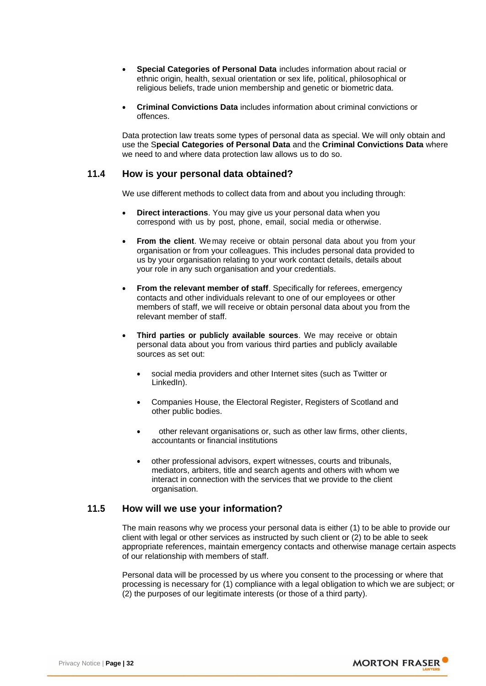- **Special Categories of Personal Data** includes information about racial or ethnic origin, health, sexual orientation or sex life, political, philosophical or religious beliefs, trade union membership and genetic or biometric data.
- **Criminal Convictions Data** includes information about criminal convictions or offences.

Data protection law treats some types of personal data as special. We will only obtain and use the S**pecial Categories of Personal Data** and the **Criminal Convictions Data** where we need to and where data protection law allows us to do so.

#### **11.4 How is your personal data obtained?**

We use different methods to collect data from and about you including through:

- **Direct interactions**. You may give us your personal data when you correspond with us by post, phone, email, social media or otherwise.
- **From the client**. We may receive or obtain personal data about you from your organisation or from your colleagues. This includes personal data provided to us by your organisation relating to your work contact details, details about your role in any such organisation and your credentials.
- **From the relevant member of staff.** Specifically for referees, emergency contacts and other individuals relevant to one of our employees or other members of staff, we will receive or obtain personal data about you from the relevant member of staff.
- **Third parties or publicly available sources**. We may receive or obtain personal data about you from various third parties and publicly available sources as set out:
	- social media providers and other Internet sites (such as Twitter or LinkedIn).
	- Companies House, the Electoral Register, Registers of Scotland and other public bodies.
	- other relevant organisations or, such as other law firms, other clients, accountants or financial institutions
	- other professional advisors, expert witnesses, courts and tribunals, mediators, arbiters, title and search agents and others with whom we interact in connection with the services that we provide to the client organisation.

#### **11.5 How will we use your information?**

The main reasons why we process your personal data is either (1) to be able to provide our client with legal or other services as instructed by such client or (2) to be able to seek appropriate references, maintain emergency contacts and otherwise manage certain aspects of our relationship with members of staff.

Personal data will be processed by us where you consent to the processing or where that processing is necessary for (1) compliance with a legal obligation to which we are subject; or (2) the purposes of our legitimate interests (or those of a third party).

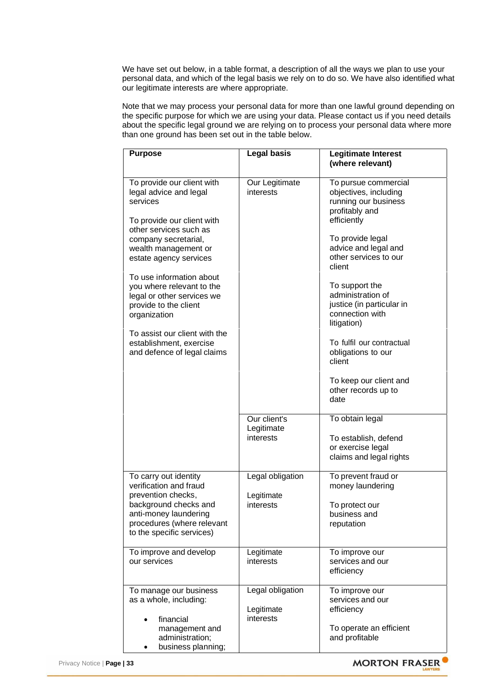We have set out below, in a table format, a description of all the ways we plan to use your personal data, and which of the legal basis we rely on to do so. We have also identified what our legitimate interests are where appropriate.

Note that we may process your personal data for more than one lawful ground depending on the specific purpose for which we are using your data. Please contact us if you need details about the specific legal ground we are relying on to process your personal data where more than one ground has been set out in the table below.

| <b>Purpose</b>                                                                                                                                                                                                                                                                                                                                                                                                                | <b>Legal basis</b>                          | <b>Legitimate Interest</b><br>(where relevant)                                                                                                                                                                                                                                                                                                                                                                    |
|-------------------------------------------------------------------------------------------------------------------------------------------------------------------------------------------------------------------------------------------------------------------------------------------------------------------------------------------------------------------------------------------------------------------------------|---------------------------------------------|-------------------------------------------------------------------------------------------------------------------------------------------------------------------------------------------------------------------------------------------------------------------------------------------------------------------------------------------------------------------------------------------------------------------|
| To provide our client with<br>legal advice and legal<br>services<br>To provide our client with<br>other services such as<br>company secretarial,<br>wealth management or<br>estate agency services<br>To use information about<br>you where relevant to the<br>legal or other services we<br>provide to the client<br>organization<br>To assist our client with the<br>establishment, exercise<br>and defence of legal claims | Our Legitimate<br>interests                 | To pursue commercial<br>objectives, including<br>running our business<br>profitably and<br>efficiently<br>To provide legal<br>advice and legal and<br>other services to our<br>client<br>To support the<br>administration of<br>justice (in particular in<br>connection with<br>litigation)<br>To fulfil our contractual<br>obligations to our<br>client<br>To keep our client and<br>other records up to<br>date |
|                                                                                                                                                                                                                                                                                                                                                                                                                               | Our client's<br>Legitimate<br>interests     | To obtain legal<br>To establish, defend<br>or exercise legal<br>claims and legal rights                                                                                                                                                                                                                                                                                                                           |
| To carry out identity<br>verification and fraud<br>prevention checks,<br>background checks and<br>anti-money laundering<br>procedures (where relevant<br>to the specific services)                                                                                                                                                                                                                                            | Legal obligation<br>Legitimate<br>interests | To prevent fraud or<br>money laundering<br>To protect our<br>business and<br>reputation                                                                                                                                                                                                                                                                                                                           |
| To improve and develop<br>our services                                                                                                                                                                                                                                                                                                                                                                                        | Legitimate<br>interests                     | To improve our<br>services and our<br>efficiency                                                                                                                                                                                                                                                                                                                                                                  |
| To manage our business<br>as a whole, including:<br>financial<br>management and<br>administration;<br>business planning;                                                                                                                                                                                                                                                                                                      | Legal obligation<br>Legitimate<br>interests | To improve our<br>services and our<br>efficiency<br>To operate an efficient<br>and profitable                                                                                                                                                                                                                                                                                                                     |

**MORTON FRASER**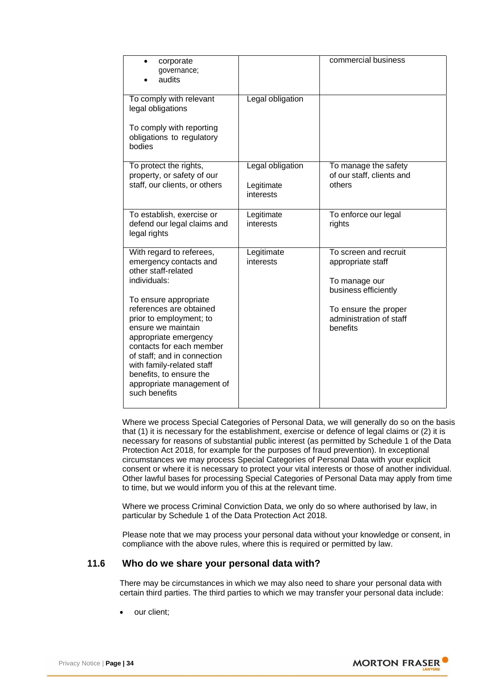| corporate<br>$\bullet$<br>governance;<br>audits                                                                                                                                                                                                                                                                                                                                          |                                             | commercial business                                                                                                                                |
|------------------------------------------------------------------------------------------------------------------------------------------------------------------------------------------------------------------------------------------------------------------------------------------------------------------------------------------------------------------------------------------|---------------------------------------------|----------------------------------------------------------------------------------------------------------------------------------------------------|
| To comply with relevant<br>legal obligations<br>To comply with reporting<br>obligations to regulatory<br>bodies                                                                                                                                                                                                                                                                          | Legal obligation                            |                                                                                                                                                    |
| To protect the rights,<br>property, or safety of our<br>staff, our clients, or others                                                                                                                                                                                                                                                                                                    | Legal obligation<br>Legitimate<br>interests | To manage the safety<br>of our staff, clients and<br>others                                                                                        |
| To establish, exercise or<br>defend our legal claims and<br>legal rights                                                                                                                                                                                                                                                                                                                 | Legitimate<br>interests                     | To enforce our legal<br>rights                                                                                                                     |
| With regard to referees,<br>emergency contacts and<br>other staff-related<br>individuals:<br>To ensure appropriate<br>references are obtained<br>prior to employment; to<br>ensure we maintain<br>appropriate emergency<br>contacts for each member<br>of staff; and in connection<br>with family-related staff<br>benefits, to ensure the<br>appropriate management of<br>such benefits | Legitimate<br>interests                     | To screen and recruit<br>appropriate staff<br>To manage our<br>business efficiently<br>To ensure the proper<br>administration of staff<br>benefits |

Where we process Special Categories of Personal Data, we will generally do so on the basis that (1) it is necessary for the establishment, exercise or defence of legal claims or (2) it is necessary for reasons of substantial public interest (as permitted by Schedule 1 of the Data Protection Act 2018, for example for the purposes of fraud prevention). In exceptional circumstances we may process Special Categories of Personal Data with your explicit consent or where it is necessary to protect your vital interests or those of another individual. Other lawful bases for processing Special Categories of Personal Data may apply from time to time, but we would inform you of this at the relevant time.

Where we process Criminal Conviction Data, we only do so where authorised by law, in particular by Schedule 1 of the Data Protection Act 2018.

Please note that we may process your personal data without your knowledge or consent, in compliance with the above rules, where this is required or permitted by law.

#### **11.6 Who do we share your personal data with?**

There may be circumstances in which we may also need to share your personal data with certain third parties. The third parties to which we may transfer your personal data include:

our client;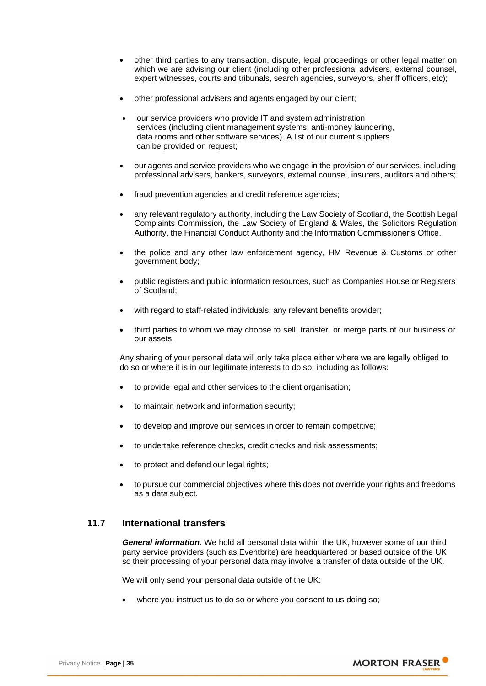- other third parties to any transaction, dispute, legal proceedings or other legal matter on which we are advising our client (including other professional advisers, external counsel, expert witnesses, courts and tribunals, search agencies, surveyors, sheriff officers, etc);
- other professional advisers and agents engaged by our client;
- our service providers who provide IT and system administration services (including client management systems, anti-money laundering, data rooms and other software services). A list of our current suppliers can be provided on request;
- our agents and service providers who we engage in the provision of our services, including professional advisers, bankers, surveyors, external counsel, insurers, auditors and others;
- fraud prevention agencies and credit reference agencies;
- any relevant regulatory authority, including the Law Society of Scotland, the Scottish Legal Complaints Commission, the Law Society of England & Wales, the Solicitors Regulation Authority, the Financial Conduct Authority and the Information Commissioner's Office.
- the police and any other law enforcement agency, HM Revenue & Customs or other government body;
- public registers and public information resources, such as Companies House or Registers of Scotland;
- with regard to staff-related individuals, any relevant benefits provider;
- third parties to whom we may choose to sell, transfer, or merge parts of our business or our assets.

Any sharing of your personal data will only take place either where we are legally obliged to do so or where it is in our legitimate interests to do so, including as follows:

- to provide legal and other services to the client organisation;
- to maintain network and information security;
- to develop and improve our services in order to remain competitive;
- to undertake reference checks, credit checks and risk assessments;
- to protect and defend our legal rights;
- to pursue our commercial objectives where this does not override your rights and freedoms as a data subject.

#### **11.7 International transfers**

*General information.* We hold all personal data within the UK, however some of our third party service providers (such as Eventbrite) are headquartered or based outside of the UK so their processing of your personal data may involve a transfer of data outside of the UK.

We will only send your personal data outside of the UK:

where you instruct us to do so or where you consent to us doing so;

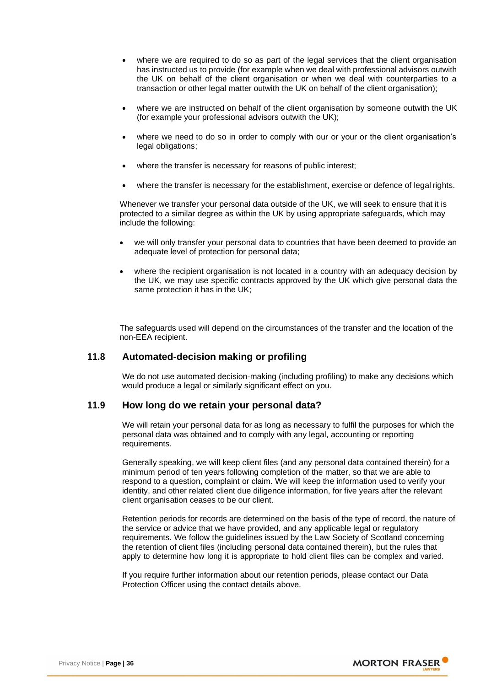- where we are required to do so as part of the legal services that the client organisation has instructed us to provide (for example when we deal with professional advisors outwith the UK on behalf of the client organisation or when we deal with counterparties to a transaction or other legal matter outwith the UK on behalf of the client organisation);
- where we are instructed on behalf of the client organisation by someone outwith the UK (for example your professional advisors outwith the UK);
- where we need to do so in order to comply with our or your or the client organisation's legal obligations;
- where the transfer is necessary for reasons of public interest;
- where the transfer is necessary for the establishment, exercise or defence of legal rights.

Whenever we transfer your personal data outside of the UK, we will seek to ensure that it is protected to a similar degree as within the UK by using appropriate safeguards, which may include the following:

- we will only transfer your personal data to countries that have been deemed to provide an adequate level of protection for personal data;
- where the recipient organisation is not located in a country with an adequacy decision by the UK, we may use specific contracts approved by the UK which give personal data the same protection it has in the UK;

The safeguards used will depend on the circumstances of the transfer and the location of the non-EEA recipient.

#### **11.8 Automated-decision making or profiling**

We do not use automated decision-making (including profiling) to make any decisions which would produce a legal or similarly significant effect on you.

#### **11.9 How long do we retain your personal data?**

We will retain your personal data for as long as necessary to fulfil the purposes for which the personal data was obtained and to comply with any legal, accounting or reporting requirements.

Generally speaking, we will keep client files (and any personal data contained therein) for a minimum period of ten years following completion of the matter, so that we are able to respond to a question, complaint or claim. We will keep the information used to verify your identity, and other related client due diligence information, for five years after the relevant client organisation ceases to be our client.

Retention periods for records are determined on the basis of the type of record, the nature of the service or advice that we have provided, and any applicable legal or regulatory requirements. We follow the guidelines issued by the Law Society of Scotland concerning the retention of client files (including personal data contained therein), but the rules that apply to determine how long it is appropriate to hold client files can be complex and varied.

If you require further information about our retention periods, please contact our Data Protection Officer using the contact details above.

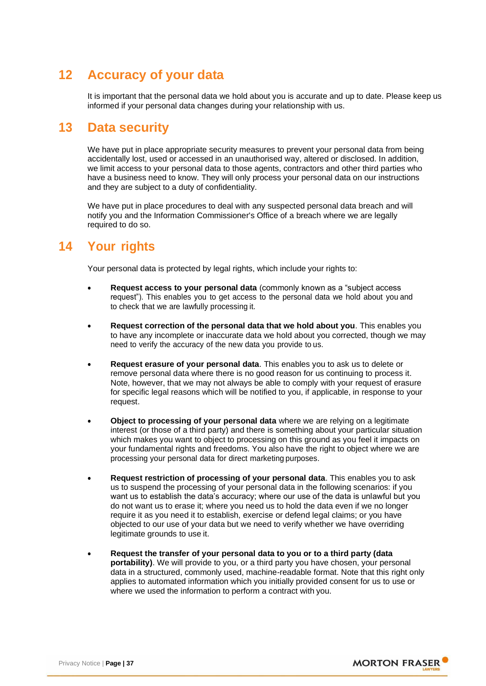# **12 Accuracy of your data**

It is important that the personal data we hold about you is accurate and up to date. Please keep us informed if your personal data changes during your relationship with us.

### **13 Data security**

We have put in place appropriate security measures to prevent your personal data from being accidentally lost, used or accessed in an unauthorised way, altered or disclosed. In addition, we limit access to your personal data to those agents, contractors and other third parties who have a business need to know. They will only process your personal data on our instructions and they are subject to a duty of confidentiality.

We have put in place procedures to deal with any suspected personal data breach and will notify you and the Information Commissioner's Office of a breach where we are legally required to do so.

## **14 Your rights**

Your personal data is protected by legal rights, which include your rights to:

- **Request access to your personal data** (commonly known as a "subject access request"). This enables you to get access to the personal data we hold about you and to check that we are lawfully processing it.
- **Request correction of the personal data that we hold about you**. This enables you to have any incomplete or inaccurate data we hold about you corrected, though we may need to verify the accuracy of the new data you provide to us.
- **Request erasure of your personal data**. This enables you to ask us to delete or remove personal data where there is no good reason for us continuing to process it. Note, however, that we may not always be able to comply with your request of erasure for specific legal reasons which will be notified to you, if applicable, in response to your request.
- **Object to processing of your personal data** where we are relying on a legitimate interest (or those of a third party) and there is something about your particular situation which makes you want to object to processing on this ground as you feel it impacts on your fundamental rights and freedoms. You also have the right to object where we are processing your personal data for direct marketing purposes.
- **Request restriction of processing of your personal data**. This enables you to ask us to suspend the processing of your personal data in the following scenarios: if you want us to establish the data's accuracy; where our use of the data is unlawful but you do not want us to erase it; where you need us to hold the data even if we no longer require it as you need it to establish, exercise or defend legal claims; or you have objected to our use of your data but we need to verify whether we have overriding legitimate grounds to use it.
- **Request the transfer of your personal data to you or to a third party (data portability)**. We will provide to you, or a third party you have chosen, your personal data in a structured, commonly used, machine-readable format. Note that this right only applies to automated information which you initially provided consent for us to use or where we used the information to perform a contract with you.